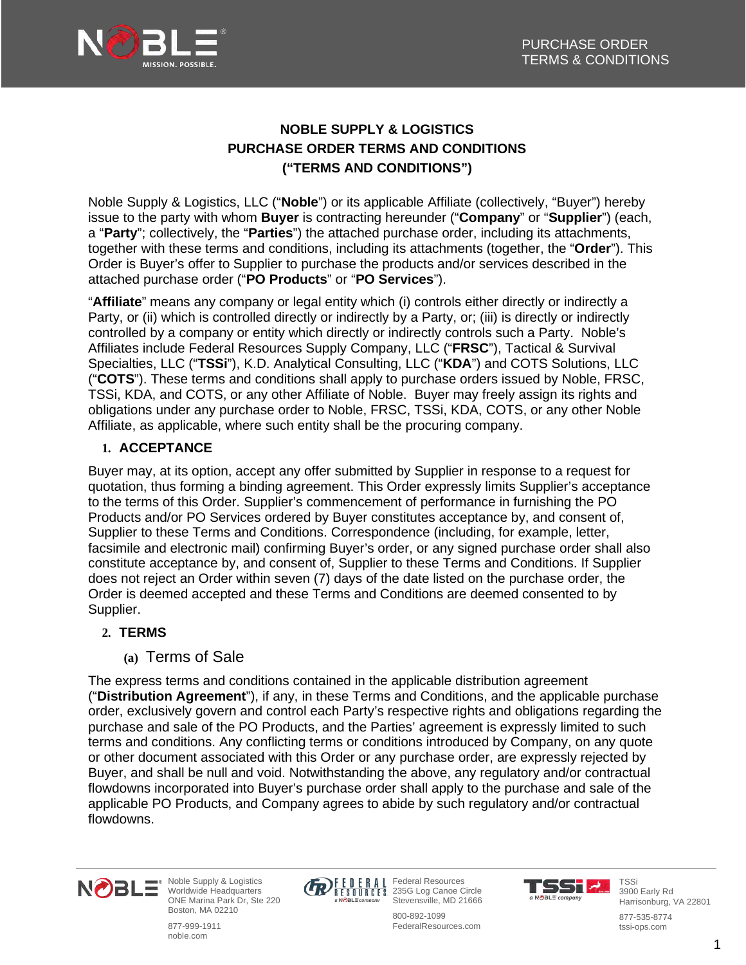

# **NOBLE SUPPLY & LOGISTICS PURCHASE ORDER TERMS AND CONDITIONS ("TERMS AND CONDITIONS")**

Noble Supply & Logistics, LLC ("**Noble**") or its applicable Affiliate (collectively, "Buyer") hereby issue to the party with whom **Buyer** is contracting hereunder ("**Company**" or "**Supplier**") (each, a "**Party**"; collectively, the "**Parties**") the attached purchase order, including its attachments, together with these terms and conditions, including its attachments (together, the "**Order**"). This Order is Buyer's offer to Supplier to purchase the products and/or services described in the attached purchase order ("**PO Products**" or "**PO Services**").

"**Affiliate**" means any company or legal entity which (i) controls either directly or indirectly a Party, or (ii) which is controlled directly or indirectly by a Party, or; (iii) is directly or indirectly controlled by a company or entity which directly or indirectly controls such a Party. Noble's Affiliates include Federal Resources Supply Company, LLC ("**FRSC**"), Tactical & Survival Specialties, LLC ("**TSSi**"), K.D. Analytical Consulting, LLC ("**KDA**") and COTS Solutions, LLC ("**COTS**"). These terms and conditions shall apply to purchase orders issued by Noble, FRSC, TSSi, KDA, and COTS, or any other Affiliate of Noble. Buyer may freely assign its rights and obligations under any purchase order to Noble, FRSC, TSSi, KDA, COTS, or any other Noble Affiliate, as applicable, where such entity shall be the procuring company.

# **1. ACCEPTANCE**

Buyer may, at its option, accept any offer submitted by Supplier in response to a request for quotation, thus forming a binding agreement. This Order expressly limits Supplier's acceptance to the terms of this Order. Supplier's commencement of performance in furnishing the PO Products and/or PO Services ordered by Buyer constitutes acceptance by, and consent of, Supplier to these Terms and Conditions. Correspondence (including, for example, letter, facsimile and electronic mail) confirming Buyer's order, or any signed purchase order shall also constitute acceptance by, and consent of, Supplier to these Terms and Conditions. If Supplier does not reject an Order within seven (7) days of the date listed on the purchase order, the Order is deemed accepted and these Terms and Conditions are deemed consented to by Supplier.

# **2. TERMS**

# **(a)** Terms of Sale

The express terms and conditions contained in the applicable distribution agreement ("**Distribution Agreement**"), if any, in these Terms and Conditions, and the applicable purchase order, exclusively govern and control each Party's respective rights and obligations regarding the purchase and sale of the PO Products, and the Parties' agreement is expressly limited to such terms and conditions. Any conflicting terms or conditions introduced by Company, on any quote or other document associated with this Order or any purchase order, are expressly rejected by Buyer, and shall be null and void. Notwithstanding the above, any regulatory and/or contractual flowdowns incorporated into Buyer's purchase order shall apply to the purchase and sale of the applicable PO Products, and Company agrees to abide by such regulatory and/or contractual flowdowns.



Noble Supply & Logistics Worldwide Headquarters ONE Marina Park Dr, Ste 220 Boston, MA 02210

877-999-1911 noble.com



Federal Resources 235G Log Canoe Circle Stevensville, MD 21666 800-892-1099



TSSi 3900 Early Rd Harrisonburg, VA 22801

FederalResources.com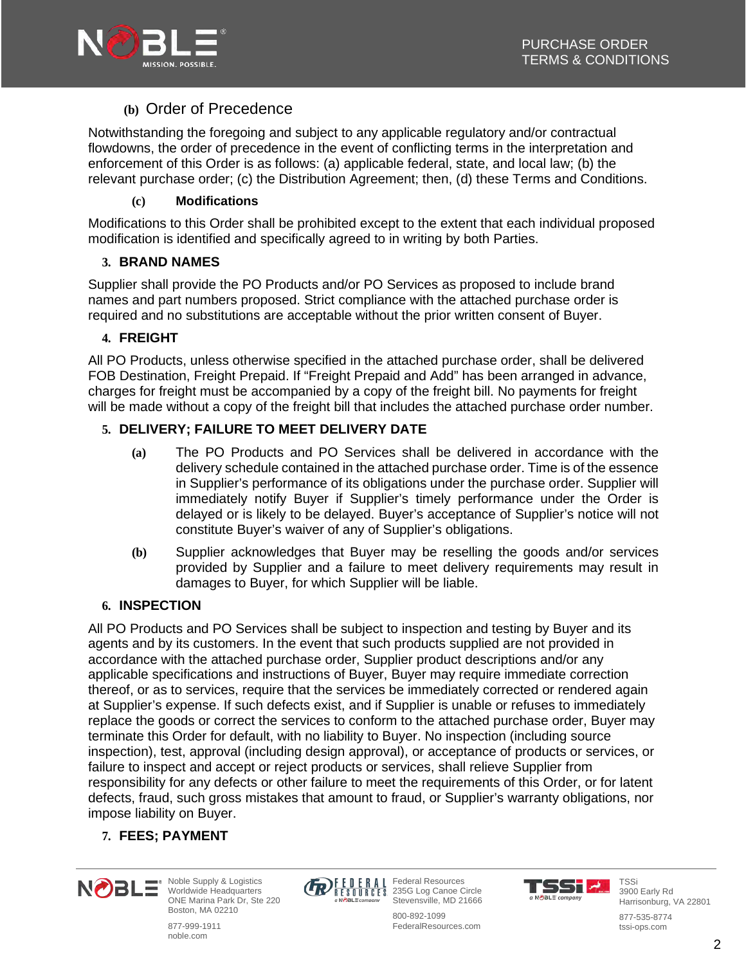

# **(b)** Order of Precedence

Notwithstanding the foregoing and subject to any applicable regulatory and/or contractual flowdowns, the order of precedence in the event of conflicting terms in the interpretation and enforcement of this Order is as follows: (a) applicable federal, state, and local law; (b) the relevant purchase order; (c) the Distribution Agreement; then, (d) these Terms and Conditions.

### **(c) Modifications**

Modifications to this Order shall be prohibited except to the extent that each individual proposed modification is identified and specifically agreed to in writing by both Parties.

# **3. BRAND NAMES**

Supplier shall provide the PO Products and/or PO Services as proposed to include brand names and part numbers proposed. Strict compliance with the attached purchase order is required and no substitutions are acceptable without the prior written consent of Buyer.

### **4. FREIGHT**

All PO Products, unless otherwise specified in the attached purchase order, shall be delivered FOB Destination, Freight Prepaid. If "Freight Prepaid and Add" has been arranged in advance, charges for freight must be accompanied by a copy of the freight bill. No payments for freight will be made without a copy of the freight bill that includes the attached purchase order number.

### **5. DELIVERY; FAILURE TO MEET DELIVERY DATE**

- **(a)** The PO Products and PO Services shall be delivered in accordance with the delivery schedule contained in the attached purchase order. Time is of the essence in Supplier's performance of its obligations under the purchase order. Supplier will immediately notify Buyer if Supplier's timely performance under the Order is delayed or is likely to be delayed. Buyer's acceptance of Supplier's notice will not constitute Buyer's waiver of any of Supplier's obligations.
- **(b)** Supplier acknowledges that Buyer may be reselling the goods and/or services provided by Supplier and a failure to meet delivery requirements may result in damages to Buyer, for which Supplier will be liable.

### **6. INSPECTION**

All PO Products and PO Services shall be subject to inspection and testing by Buyer and its agents and by its customers. In the event that such products supplied are not provided in accordance with the attached purchase order, Supplier product descriptions and/or any applicable specifications and instructions of Buyer, Buyer may require immediate correction thereof, or as to services, require that the services be immediately corrected or rendered again at Supplier's expense. If such defects exist, and if Supplier is unable or refuses to immediately replace the goods or correct the services to conform to the attached purchase order, Buyer may terminate this Order for default, with no liability to Buyer. No inspection (including source inspection), test, approval (including design approval), or acceptance of products or services, or failure to inspect and accept or reject products or services, shall relieve Supplier from responsibility for any defects or other failure to meet the requirements of this Order, or for latent defects, fraud, such gross mistakes that amount to fraud, or Supplier's warranty obligations, nor impose liability on Buyer.

### **7. FEES; PAYMENT**



Noble Supply & Logistics Worldwide Headquarters ONE Marina Park Dr, Ste 220 Boston, MA 02210

877-999-1911 noble.com



Federal Resources 235G Log Canoe Circle Stevensville, MD 21666 800-892-1099



TSSi 3900 Early Rd Harrisonburg, VA 22801

FederalResources.com

877-535-8774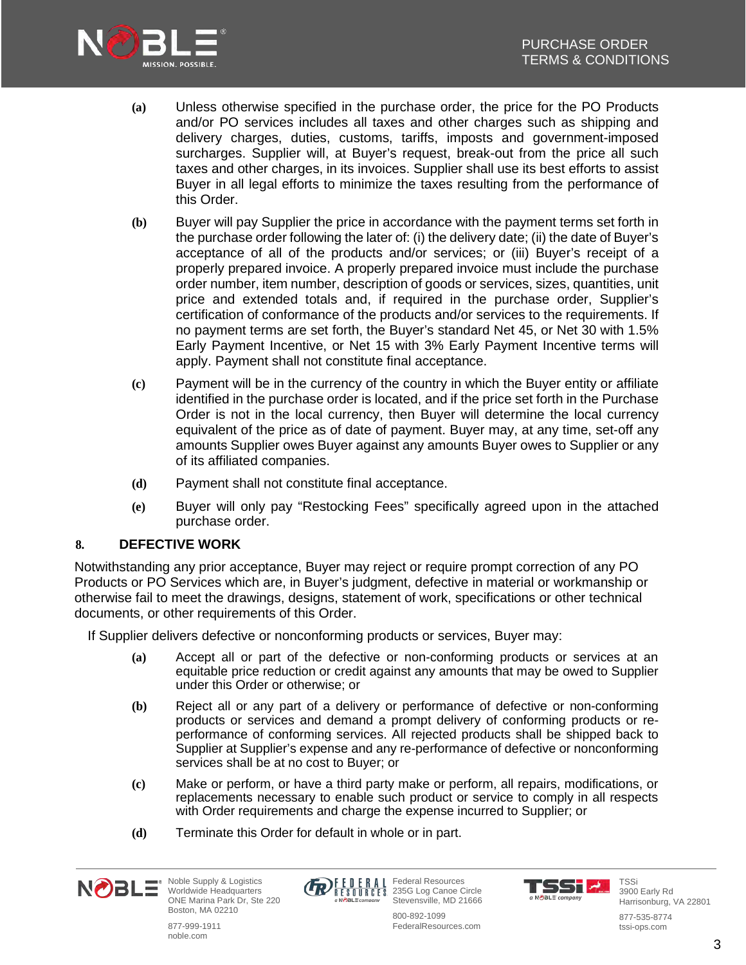

- **(a)** Unless otherwise specified in the purchase order, the price for the PO Products and/or PO services includes all taxes and other charges such as shipping and delivery charges, duties, customs, tariffs, imposts and government-imposed surcharges. Supplier will, at Buyer's request, break-out from the price all such taxes and other charges, in its invoices. Supplier shall use its best efforts to assist Buyer in all legal efforts to minimize the taxes resulting from the performance of this Order.
- **(b)** Buyer will pay Supplier the price in accordance with the payment terms set forth in the purchase order following the later of: (i) the delivery date; (ii) the date of Buyer's acceptance of all of the products and/or services; or (iii) Buyer's receipt of a properly prepared invoice. A properly prepared invoice must include the purchase order number, item number, description of goods or services, sizes, quantities, unit price and extended totals and, if required in the purchase order, Supplier's certification of conformance of the products and/or services to the requirements. If no payment terms are set forth, the Buyer's standard Net 45, or Net 30 with 1.5% Early Payment Incentive, or Net 15 with 3% Early Payment Incentive terms will apply. Payment shall not constitute final acceptance.
- **(c)** Payment will be in the currency of the country in which the Buyer entity or affiliate identified in the purchase order is located, and if the price set forth in the Purchase Order is not in the local currency, then Buyer will determine the local currency equivalent of the price as of date of payment. Buyer may, at any time, set-off any amounts Supplier owes Buyer against any amounts Buyer owes to Supplier or any of its affiliated companies.
- **(d)** Payment shall not constitute final acceptance.
- **(e)** Buyer will only pay "Restocking Fees" specifically agreed upon in the attached purchase order.

### **8. DEFECTIVE WORK**

Notwithstanding any prior acceptance, Buyer may reject or require prompt correction of any PO Products or PO Services which are, in Buyer's judgment, defective in material or workmanship or otherwise fail to meet the drawings, designs, statement of work, specifications or other technical documents, or other requirements of this Order.

If Supplier delivers defective or nonconforming products or services, Buyer may:

- **(a)** Accept all or part of the defective or non-conforming products or services at an equitable price reduction or credit against any amounts that may be owed to Supplier under this Order or otherwise; or
- **(b)** Reject all or any part of a delivery or performance of defective or non-conforming products or services and demand a prompt delivery of conforming products or reperformance of conforming services. All rejected products shall be shipped back to Supplier at Supplier's expense and any re-performance of defective or nonconforming services shall be at no cost to Buyer; or
- **(c)** Make or perform, or have a third party make or perform, all repairs, modifications, or replacements necessary to enable such product or service to comply in all respects with Order requirements and charge the expense incurred to Supplier; or
- **(d)** Terminate this Order for default in whole or in part.





Federal Resources 235G Log Canoe Circle Stevensville, MD 21666



TSSi 3900 Early Rd Harrisonburg, VA 22801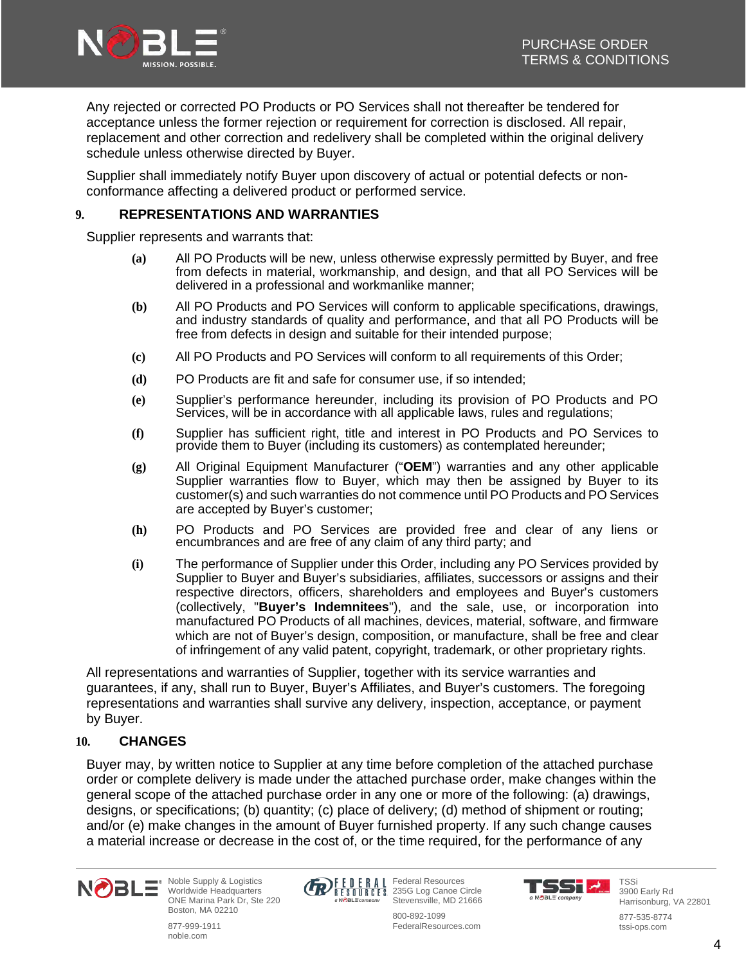

Any rejected or corrected PO Products or PO Services shall not thereafter be tendered for acceptance unless the former rejection or requirement for correction is disclosed. All repair, replacement and other correction and redelivery shall be completed within the original delivery schedule unless otherwise directed by Buyer.

Supplier shall immediately notify Buyer upon discovery of actual or potential defects or nonconformance affecting a delivered product or performed service.

### **9. REPRESENTATIONS AND WARRANTIES**

Supplier represents and warrants that:

- **(a)** All PO Products will be new, unless otherwise expressly permitted by Buyer, and free from defects in material, workmanship, and design, and that all PO Services will be delivered in a professional and workmanlike manner;
- **(b)** All PO Products and PO Services will conform to applicable specifications, drawings, and industry standards of quality and performance, and that all PO Products will be free from defects in design and suitable for their intended purpose;
- **(c)** All PO Products and PO Services will conform to all requirements of this Order;
- **(d)** PO Products are fit and safe for consumer use, if so intended;
- **(e)** Supplier's performance hereunder, including its provision of PO Products and PO Services, will be in accordance with all applicable laws, rules and regulations;
- **(f)** Supplier has sufficient right, title and interest in PO Products and PO Services to provide them to Buyer (including its customers) as contemplated hereunder;
- **(g)** All Original Equipment Manufacturer ("**OEM**") warranties and any other applicable Supplier warranties flow to Buyer, which may then be assigned by Buyer to its customer(s) and such warranties do not commence until PO Products and PO Services are accepted by Buyer's customer;
- **(h)** PO Products and PO Services are provided free and clear of any liens or encumbrances and are free of any claim of any third party; and
- **(i)** The performance of Supplier under this Order, including any PO Services provided by Supplier to Buyer and Buyer's subsidiaries, affiliates, successors or assigns and their respective directors, officers, shareholders and employees and Buyer's customers (collectively, "**Buyer's Indemnitees**"), and the sale, use, or incorporation into manufactured PO Products of all machines, devices, material, software, and firmware which are not of Buyer's design, composition, or manufacture, shall be free and clear of infringement of any valid patent, copyright, trademark, or other proprietary rights.

All representations and warranties of Supplier, together with its service warranties and guarantees, if any, shall run to Buyer, Buyer's Affiliates, and Buyer's customers. The foregoing representations and warranties shall survive any delivery, inspection, acceptance, or payment by Buyer.

### **10. CHANGES**

Buyer may, by written notice to Supplier at any time before completion of the attached purchase order or complete delivery is made under the attached purchase order, make changes within the general scope of the attached purchase order in any one or more of the following: (a) drawings, designs, or specifications; (b) quantity; (c) place of delivery; (d) method of shipment or routing; and/or (e) make changes in the amount of Buyer furnished property. If any such change causes a material increase or decrease in the cost of, or the time required, for the performance of any



Noble Supply & Logistics Worldwide Headquarters ONE Marina Park Dr, Ste 220 Boston, MA 02210

877-999-1911 noble.com



Federal Resources 235G Log Canoe Circle Stevensville, MD 21666

55T 2 a NOBLE company



tssi-ops.com

Harrisonburg, VA 22801 877-535-8774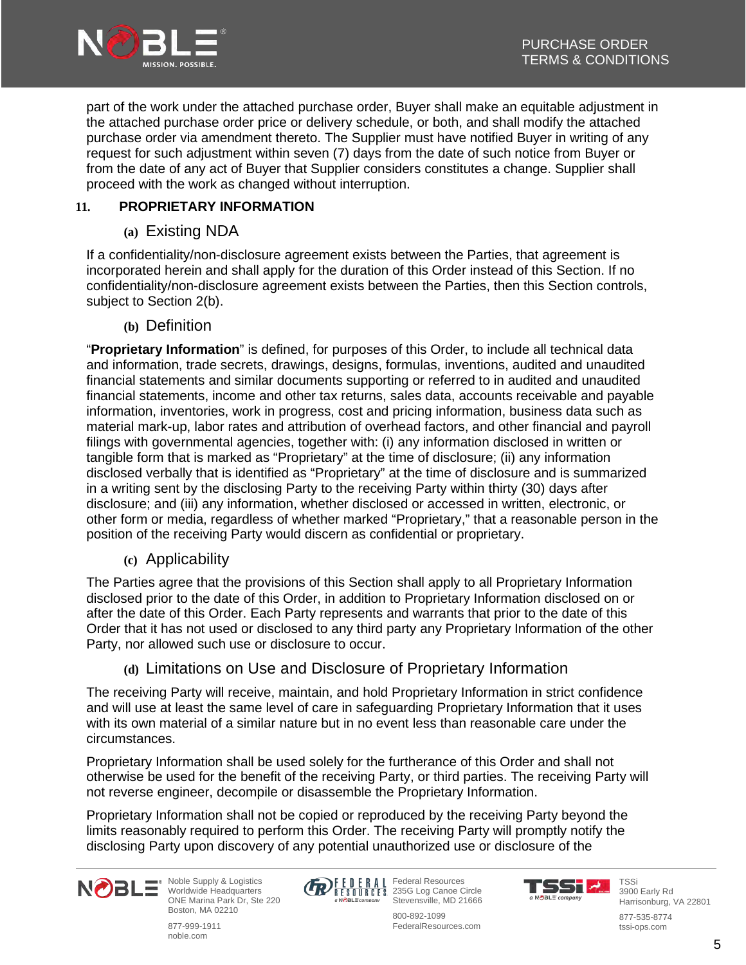

part of the work under the attached purchase order, Buyer shall make an equitable adjustment in the attached purchase order price or delivery schedule, or both, and shall modify the attached purchase order via amendment thereto. The Supplier must have notified Buyer in writing of any request for such adjustment within seven (7) days from the date of such notice from Buyer or from the date of any act of Buyer that Supplier considers constitutes a change. Supplier shall proceed with the work as changed without interruption.

# **11. PROPRIETARY INFORMATION**

# **(a)** Existing NDA

If a confidentiality/non-disclosure agreement exists between the Parties, that agreement is incorporated herein and shall apply for the duration of this Order instead of this Section. If no confidentiality/non-disclosure agreement exists between the Parties, then this Section controls, subject to Section 2(b).

**(b)** Definition

"**Proprietary Information**" is defined, for purposes of this Order, to include all technical data and information, trade secrets, drawings, designs, formulas, inventions, audited and unaudited financial statements and similar documents supporting or referred to in audited and unaudited financial statements, income and other tax returns, sales data, accounts receivable and payable information, inventories, work in progress, cost and pricing information, business data such as material mark-up, labor rates and attribution of overhead factors, and other financial and payroll filings with governmental agencies, together with: (i) any information disclosed in written or tangible form that is marked as "Proprietary" at the time of disclosure; (ii) any information disclosed verbally that is identified as "Proprietary" at the time of disclosure and is summarized in a writing sent by the disclosing Party to the receiving Party within thirty (30) days after disclosure; and (iii) any information, whether disclosed or accessed in written, electronic, or other form or media, regardless of whether marked "Proprietary," that a reasonable person in the position of the receiving Party would discern as confidential or proprietary.

**(c)** Applicability

The Parties agree that the provisions of this Section shall apply to all Proprietary Information disclosed prior to the date of this Order, in addition to Proprietary Information disclosed on or after the date of this Order. Each Party represents and warrants that prior to the date of this Order that it has not used or disclosed to any third party any Proprietary Information of the other Party, nor allowed such use or disclosure to occur.

# **(d)** Limitations on Use and Disclosure of Proprietary Information

The receiving Party will receive, maintain, and hold Proprietary Information in strict confidence and will use at least the same level of care in safeguarding Proprietary Information that it uses with its own material of a similar nature but in no event less than reasonable care under the circumstances.

Proprietary Information shall be used solely for the furtherance of this Order and shall not otherwise be used for the benefit of the receiving Party, or third parties. The receiving Party will not reverse engineer, decompile or disassemble the Proprietary Information.

Proprietary Information shall not be copied or reproduced by the receiving Party beyond the limits reasonably required to perform this Order. The receiving Party will promptly notify the disclosing Party upon discovery of any potential unauthorized use or disclosure of the



Noble Supply & Logistics Worldwide Headquarters ONE Marina Park Dr, Ste 220 Boston, MA 02210

877-999-1911 noble.com



Federal Resources 235G Log Canoe Circle Stevensville, MD 21666 800-892-1099

FederalResources.com

**SST 4.** a NOBLE company



3900 Early Rd Harrisonburg, VA 22801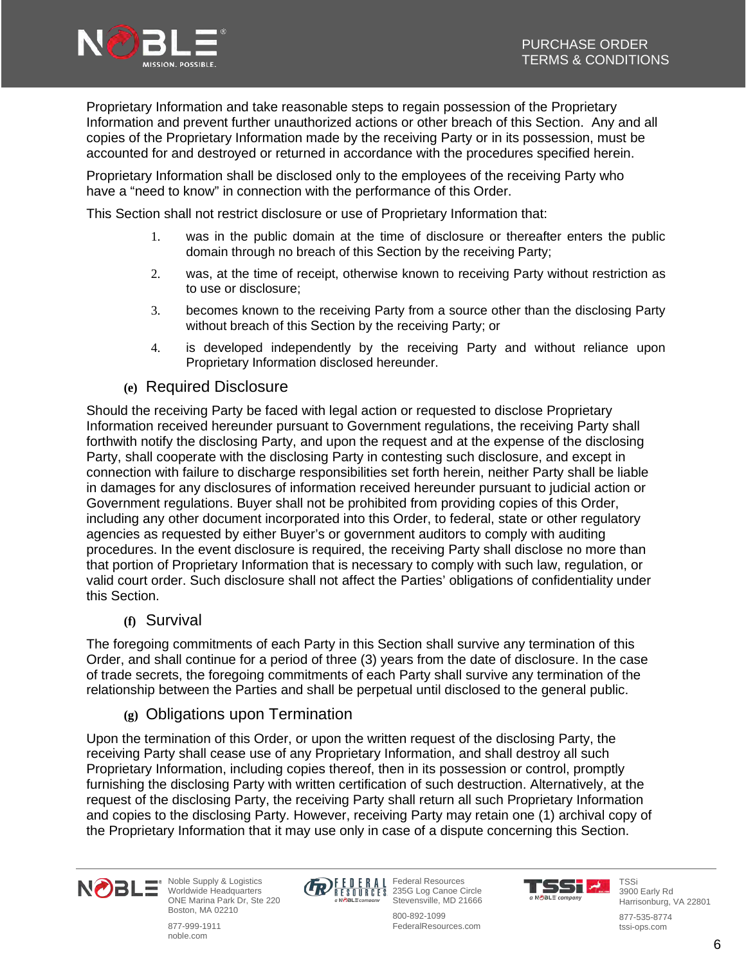

Proprietary Information and take reasonable steps to regain possession of the Proprietary Information and prevent further unauthorized actions or other breach of this Section. Any and all copies of the Proprietary Information made by the receiving Party or in its possession, must be accounted for and destroyed or returned in accordance with the procedures specified herein.

Proprietary Information shall be disclosed only to the employees of the receiving Party who have a "need to know" in connection with the performance of this Order.

This Section shall not restrict disclosure or use of Proprietary Information that:

- 1. was in the public domain at the time of disclosure or thereafter enters the public domain through no breach of this Section by the receiving Party;
- 2. was, at the time of receipt, otherwise known to receiving Party without restriction as to use or disclosure;
- 3. becomes known to the receiving Party from a source other than the disclosing Party without breach of this Section by the receiving Party; or
- 4. is developed independently by the receiving Party and without reliance upon Proprietary Information disclosed hereunder.
- **(e)** Required Disclosure

Should the receiving Party be faced with legal action or requested to disclose Proprietary Information received hereunder pursuant to Government regulations, the receiving Party shall forthwith notify the disclosing Party, and upon the request and at the expense of the disclosing Party, shall cooperate with the disclosing Party in contesting such disclosure, and except in connection with failure to discharge responsibilities set forth herein, neither Party shall be liable in damages for any disclosures of information received hereunder pursuant to judicial action or Government regulations. Buyer shall not be prohibited from providing copies of this Order, including any other document incorporated into this Order, to federal, state or other regulatory agencies as requested by either Buyer's or government auditors to comply with auditing procedures. In the event disclosure is required, the receiving Party shall disclose no more than that portion of Proprietary Information that is necessary to comply with such law, regulation, or valid court order. Such disclosure shall not affect the Parties' obligations of confidentiality under this Section.

**(f)** Survival

The foregoing commitments of each Party in this Section shall survive any termination of this Order, and shall continue for a period of three (3) years from the date of disclosure. In the case of trade secrets, the foregoing commitments of each Party shall survive any termination of the relationship between the Parties and shall be perpetual until disclosed to the general public.

**(g)** Obligations upon Termination

Upon the termination of this Order, or upon the written request of the disclosing Party, the receiving Party shall cease use of any Proprietary Information, and shall destroy all such Proprietary Information, including copies thereof, then in its possession or control, promptly furnishing the disclosing Party with written certification of such destruction. Alternatively, at the request of the disclosing Party, the receiving Party shall return all such Proprietary Information and copies to the disclosing Party. However, receiving Party may retain one (1) archival copy of the Proprietary Information that it may use only in case of a dispute concerning this Section.



Noble Supply & Logistics Worldwide Headquarters ONE Marina Park Dr, Ste 220 Boston, MA 02210

877-999-1911 noble.com



Federal Resources 235G Log Canoe Circle Stevensville, MD 21666



TSSi 3900 Early Rd Harrisonburg, VA 22801

877-535-8774 tssi-ops.com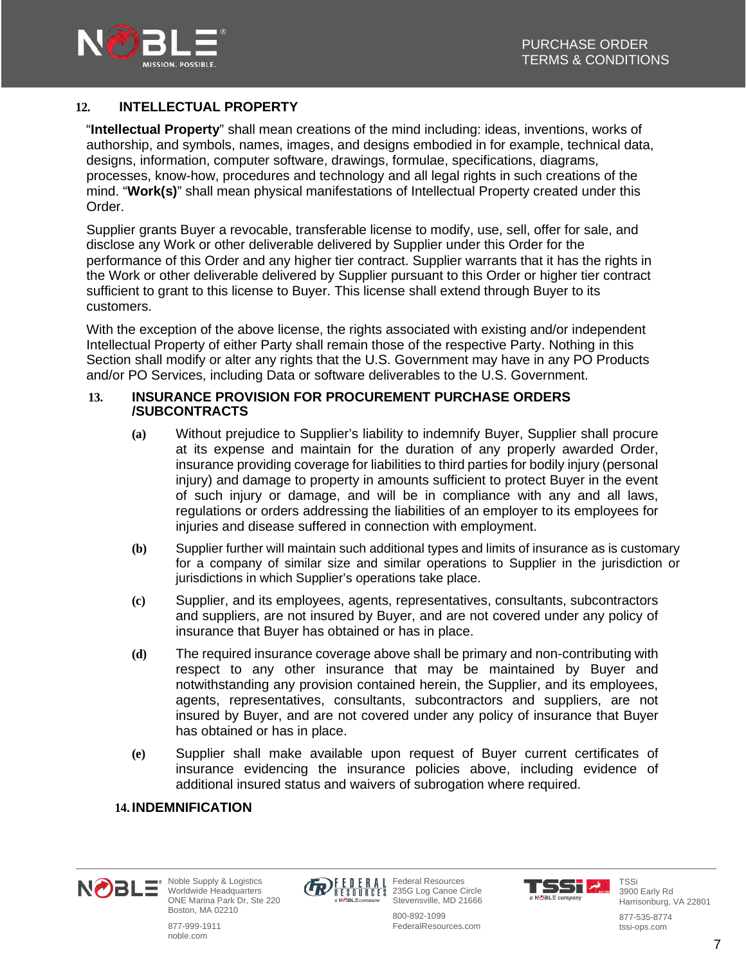

### **12. INTELLECTUAL PROPERTY**

"**Intellectual Property**" shall mean creations of the mind including: ideas, inventions, works of authorship, and symbols, names, images, and designs embodied in for example, technical data, designs, information, computer software, drawings, formulae, specifications, diagrams, processes, know-how, procedures and technology and all legal rights in such creations of the mind. "**Work(s)**" shall mean physical manifestations of Intellectual Property created under this Order.

Supplier grants Buyer a revocable, transferable license to modify, use, sell, offer for sale, and disclose any Work or other deliverable delivered by Supplier under this Order for the performance of this Order and any higher tier contract. Supplier warrants that it has the rights in the Work or other deliverable delivered by Supplier pursuant to this Order or higher tier contract sufficient to grant to this license to Buyer. This license shall extend through Buyer to its customers.

With the exception of the above license, the rights associated with existing and/or independent Intellectual Property of either Party shall remain those of the respective Party. Nothing in this Section shall modify or alter any rights that the U.S. Government may have in any PO Products and/or PO Services, including Data or software deliverables to the U.S. Government.

#### **13. INSURANCE PROVISION FOR PROCUREMENT PURCHASE ORDERS /SUBCONTRACTS**

- **(a)** Without prejudice to Supplier's liability to indemnify Buyer, Supplier shall procure at its expense and maintain for the duration of any properly awarded Order, insurance providing coverage for liabilities to third parties for bodily injury (personal injury) and damage to property in amounts sufficient to protect Buyer in the event of such injury or damage, and will be in compliance with any and all laws, regulations or orders addressing the liabilities of an employer to its employees for injuries and disease suffered in connection with employment.
- **(b)** Supplier further will maintain such additional types and limits of insurance as is customary for a company of similar size and similar operations to Supplier in the jurisdiction or jurisdictions in which Supplier's operations take place.
- **(c)** Supplier, and its employees, agents, representatives, consultants, subcontractors and suppliers, are not insured by Buyer, and are not covered under any policy of insurance that Buyer has obtained or has in place.
- **(d)** The required insurance coverage above shall be primary and non-contributing with respect to any other insurance that may be maintained by Buyer and notwithstanding any provision contained herein, the Supplier, and its employees, agents, representatives, consultants, subcontractors and suppliers, are not insured by Buyer, and are not covered under any policy of insurance that Buyer has obtained or has in place.
- **(e)** Supplier shall make available upon request of Buyer current certificates of insurance evidencing the insurance policies above, including evidence of additional insured status and waivers of subrogation where required.

### **14. INDEMNIFICATION**

877-999-1911 noble.com





235G Log Canoe Circle Stevensville, MD 21666 800-892-1099

Federal Resources



TSSi 3900 Early Rd Harrisonburg, VA 22801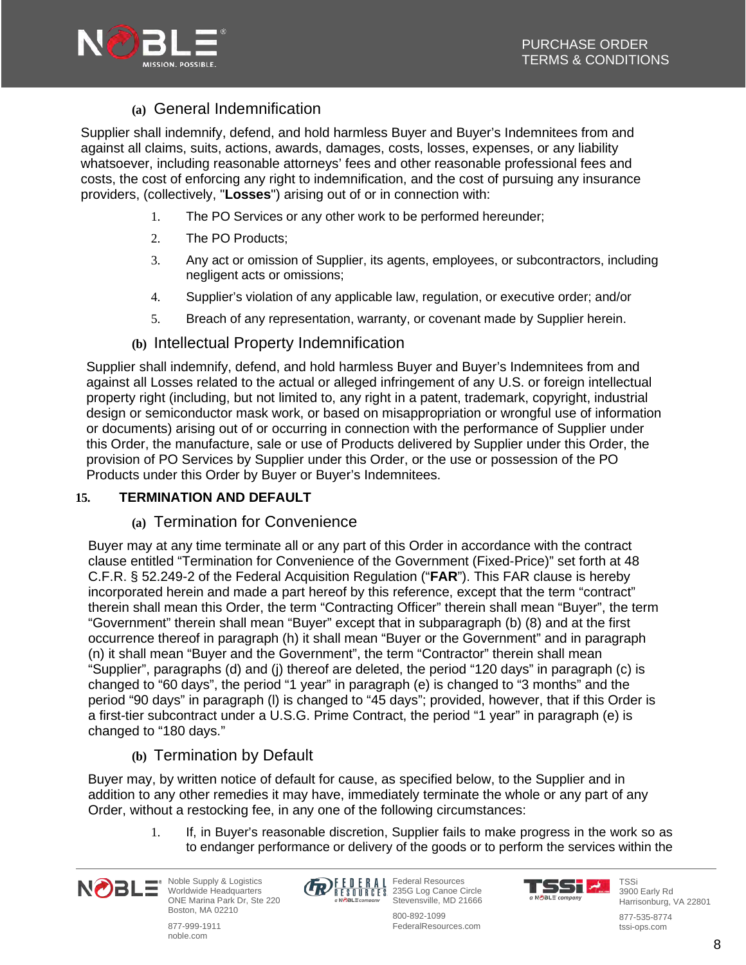

# **(a)** General Indemnification

Supplier shall indemnify, defend, and hold harmless Buyer and Buyer's Indemnitees from and against all claims, suits, actions, awards, damages, costs, losses, expenses, or any liability whatsoever, including reasonable attorneys' fees and other reasonable professional fees and costs, the cost of enforcing any right to indemnification, and the cost of pursuing any insurance providers, (collectively, "**Losses**") arising out of or in connection with:

- 1. The PO Services or any other work to be performed hereunder;
- 2. The PO Products;
- 3. Any act or omission of Supplier, its agents, employees, or subcontractors, including negligent acts or omissions;
- 4. Supplier's violation of any applicable law, regulation, or executive order; and/or
- 5. Breach of any representation, warranty, or covenant made by Supplier herein.
- **(b)** Intellectual Property Indemnification

Supplier shall indemnify, defend, and hold harmless Buyer and Buyer's Indemnitees from and against all Losses related to the actual or alleged infringement of any U.S. or foreign intellectual property right (including, but not limited to, any right in a patent, trademark, copyright, industrial design or semiconductor mask work, or based on misappropriation or wrongful use of information or documents) arising out of or occurring in connection with the performance of Supplier under this Order, the manufacture, sale or use of Products delivered by Supplier under this Order, the provision of PO Services by Supplier under this Order, or the use or possession of the PO Products under this Order by Buyer or Buyer's Indemnitees.

# **15. TERMINATION AND DEFAULT**

# **(a)** Termination for Convenience

Buyer may at any time terminate all or any part of this Order in accordance with the contract clause entitled "Termination for Convenience of the Government (Fixed-Price)" set forth at 48 C.F.R. § 52.249-2 of the Federal Acquisition Regulation ("**FAR**"). This FAR clause is hereby incorporated herein and made a part hereof by this reference, except that the term "contract" therein shall mean this Order, the term "Contracting Officer" therein shall mean "Buyer", the term "Government" therein shall mean "Buyer" except that in subparagraph (b) (8) and at the first occurrence thereof in paragraph (h) it shall mean "Buyer or the Government" and in paragraph (n) it shall mean "Buyer and the Government", the term "Contractor" therein shall mean "Supplier", paragraphs (d) and (j) thereof are deleted, the period "120 days" in paragraph (c) is changed to "60 days", the period "1 year" in paragraph (e) is changed to "3 months" and the period "90 days" in paragraph (l) is changed to "45 days"; provided, however, that if this Order is a first-tier subcontract under a U.S.G. Prime Contract, the period "1 year" in paragraph (e) is changed to "180 days."

# **(b)** Termination by Default

Buyer may, by written notice of default for cause, as specified below, to the Supplier and in addition to any other remedies it may have, immediately terminate the whole or any part of any Order, without a restocking fee, in any one of the following circumstances:

> 1. If, in Buyer's reasonable discretion, Supplier fails to make progress in the work so as to endanger performance or delivery of the goods or to perform the services within the



Noble Supply & Logistics Worldwide Headquarters ONE Marina Park Dr, Ste 220 Boston, MA 02210

877-999-1911 noble.com



Federal Resources 235G Log Canoe Circle Stevensville, MD 21666

TSST 4. a NOBLE company



3900 Early Rd Harrisonburg, VA 22801

877-535-8774 tssi-ops.com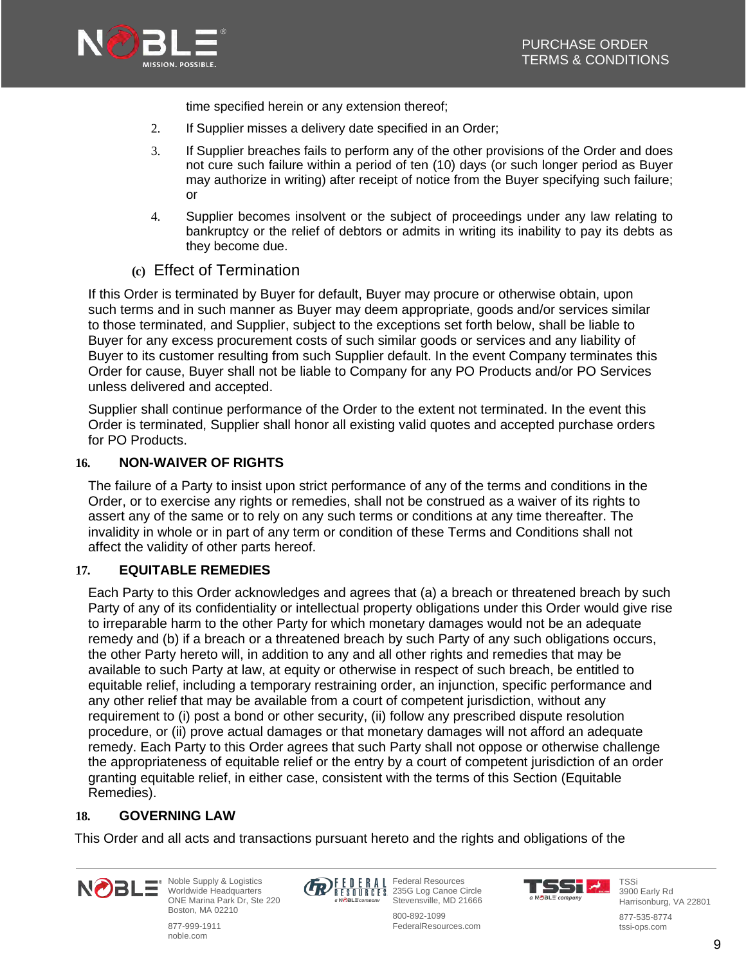

time specified herein or any extension thereof;

- 2. If Supplier misses a delivery date specified in an Order;
- 3. If Supplier breaches fails to perform any of the other provisions of the Order and does not cure such failure within a period of ten (10) days (or such longer period as Buyer may authorize in writing) after receipt of notice from the Buyer specifying such failure; or
- 4. Supplier becomes insolvent or the subject of proceedings under any law relating to bankruptcy or the relief of debtors or admits in writing its inability to pay its debts as they become due.
- **(c)** Effect of Termination

If this Order is terminated by Buyer for default, Buyer may procure or otherwise obtain, upon such terms and in such manner as Buyer may deem appropriate, goods and/or services similar to those terminated, and Supplier, subject to the exceptions set forth below, shall be liable to Buyer for any excess procurement costs of such similar goods or services and any liability of Buyer to its customer resulting from such Supplier default. In the event Company terminates this Order for cause, Buyer shall not be liable to Company for any PO Products and/or PO Services unless delivered and accepted.

Supplier shall continue performance of the Order to the extent not terminated. In the event this Order is terminated, Supplier shall honor all existing valid quotes and accepted purchase orders for PO Products.

### **16. NON-WAIVER OF RIGHTS**

The failure of a Party to insist upon strict performance of any of the terms and conditions in the Order, or to exercise any rights or remedies, shall not be construed as a waiver of its rights to assert any of the same or to rely on any such terms or conditions at any time thereafter. The invalidity in whole or in part of any term or condition of these Terms and Conditions shall not affect the validity of other parts hereof.

### **17. EQUITABLE REMEDIES**

Each Party to this Order acknowledges and agrees that (a) a breach or threatened breach by such Party of any of its confidentiality or intellectual property obligations under this Order would give rise to irreparable harm to the other Party for which monetary damages would not be an adequate remedy and (b) if a breach or a threatened breach by such Party of any such obligations occurs, the other Party hereto will, in addition to any and all other rights and remedies that may be available to such Party at law, at equity or otherwise in respect of such breach, be entitled to equitable relief, including a temporary restraining order, an injunction, specific performance and any other relief that may be available from a court of competent jurisdiction, without any requirement to (i) post a bond or other security, (ii) follow any prescribed dispute resolution procedure, or (ii) prove actual damages or that monetary damages will not afford an adequate remedy. Each Party to this Order agrees that such Party shall not oppose or otherwise challenge the appropriateness of equitable relief or the entry by a court of competent jurisdiction of an order granting equitable relief, in either case, consistent with the terms of this Section (Equitable Remedies).

### **18. GOVERNING LAW**

This Order and all acts and transactions pursuant hereto and the rights and obligations of the



Noble Supply & Logistics Worldwide Headquarters ONE Marina Park Dr, Ste 220 Boston, MA 02210

877-999-1911 noble.com



Federal Resources 235G Log Canoe Circle Stevensville, MD 21666 800-892-1099

FederalResources.com

TSS M a NOBLE company

TSSi 3900 Early Rd

Harrisonburg, VA 22801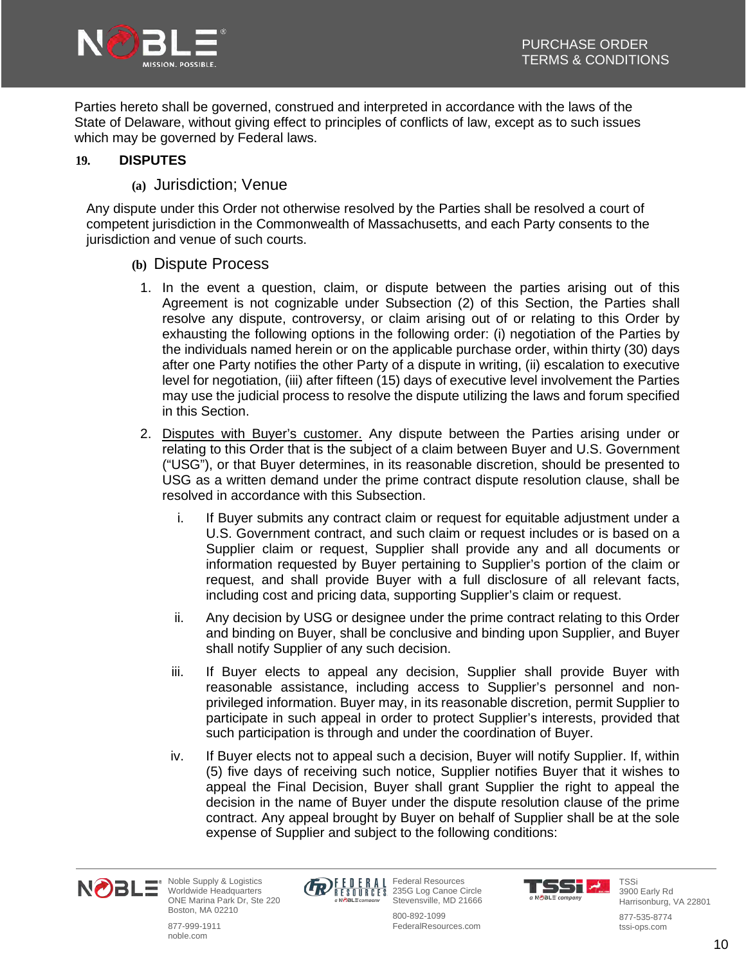

Parties hereto shall be governed, construed and interpreted in accordance with the laws of the State of Delaware, without giving effect to principles of conflicts of law, except as to such issues which may be governed by Federal laws.

### **19. DISPUTES**

**(a)** Jurisdiction; Venue

Any dispute under this Order not otherwise resolved by the Parties shall be resolved a court of competent jurisdiction in the Commonwealth of Massachusetts, and each Party consents to the jurisdiction and venue of such courts.

- **(b)** Dispute Process
	- 1. In the event a question, claim, or dispute between the parties arising out of this Agreement is not cognizable under Subsection (2) of this Section, the Parties shall resolve any dispute, controversy, or claim arising out of or relating to this Order by exhausting the following options in the following order: (i) negotiation of the Parties by the individuals named herein or on the applicable purchase order, within thirty (30) days after one Party notifies the other Party of a dispute in writing, (ii) escalation to executive level for negotiation, (iii) after fifteen (15) days of executive level involvement the Parties may use the judicial process to resolve the dispute utilizing the laws and forum specified in this Section.
	- 2. Disputes with Buyer's customer. Any dispute between the Parties arising under or relating to this Order that is the subject of a claim between Buyer and U.S. Government ("USG"), or that Buyer determines, in its reasonable discretion, should be presented to USG as a written demand under the prime contract dispute resolution clause, shall be resolved in accordance with this Subsection.
		- i. If Buyer submits any contract claim or request for equitable adjustment under a U.S. Government contract, and such claim or request includes or is based on a Supplier claim or request, Supplier shall provide any and all documents or information requested by Buyer pertaining to Supplier's portion of the claim or request, and shall provide Buyer with a full disclosure of all relevant facts, including cost and pricing data, supporting Supplier's claim or request.
		- ii. Any decision by USG or designee under the prime contract relating to this Order and binding on Buyer, shall be conclusive and binding upon Supplier, and Buyer shall notify Supplier of any such decision.
		- iii. If Buyer elects to appeal any decision, Supplier shall provide Buyer with reasonable assistance, including access to Supplier's personnel and nonprivileged information. Buyer may, in its reasonable discretion, permit Supplier to participate in such appeal in order to protect Supplier's interests, provided that such participation is through and under the coordination of Buyer.
		- iv. If Buyer elects not to appeal such a decision, Buyer will notify Supplier. If, within (5) five days of receiving such notice, Supplier notifies Buyer that it wishes to appeal the Final Decision, Buyer shall grant Supplier the right to appeal the decision in the name of Buyer under the dispute resolution clause of the prime contract. Any appeal brought by Buyer on behalf of Supplier shall be at the sole expense of Supplier and subject to the following conditions:





Federal Resources 235G Log Canoe Circle Stevensville, MD 21666 800-892-1099

FederalResources.com



TSSi 3900 Early Rd Harrisonburg, VA 22801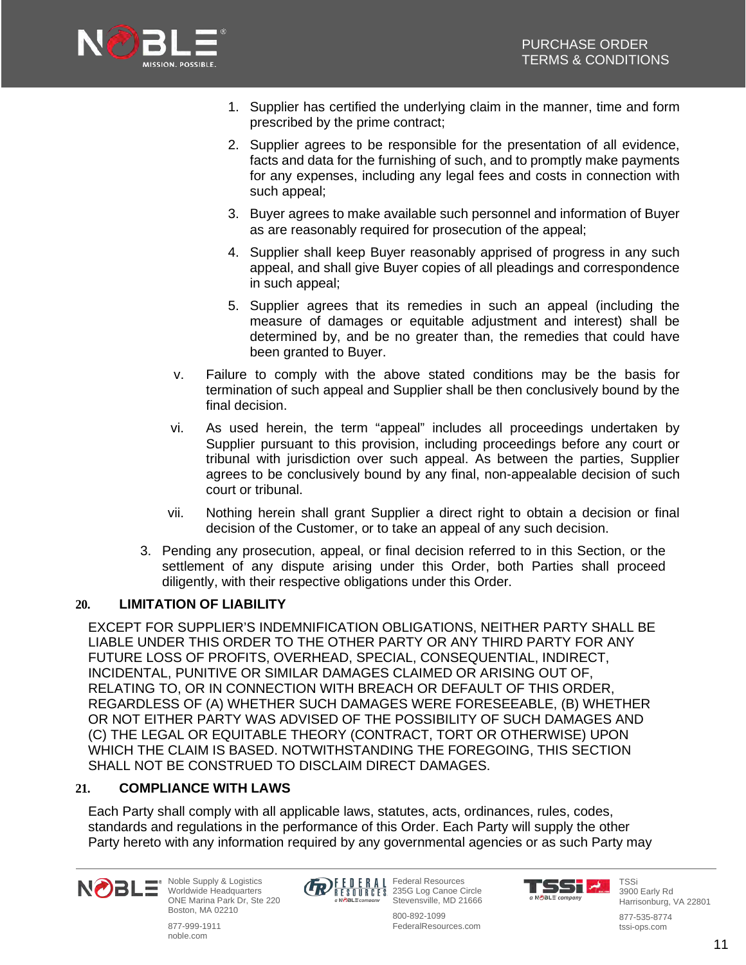

- 1. Supplier has certified the underlying claim in the manner, time and form prescribed by the prime contract;
- 2. Supplier agrees to be responsible for the presentation of all evidence, facts and data for the furnishing of such, and to promptly make payments for any expenses, including any legal fees and costs in connection with such appeal;
- 3. Buyer agrees to make available such personnel and information of Buyer as are reasonably required for prosecution of the appeal;
- 4. Supplier shall keep Buyer reasonably apprised of progress in any such appeal, and shall give Buyer copies of all pleadings and correspondence in such appeal;
- 5. Supplier agrees that its remedies in such an appeal (including the measure of damages or equitable adjustment and interest) shall be determined by, and be no greater than, the remedies that could have been granted to Buyer.
- v. Failure to comply with the above stated conditions may be the basis for termination of such appeal and Supplier shall be then conclusively bound by the final decision.
- vi. As used herein, the term "appeal" includes all proceedings undertaken by Supplier pursuant to this provision, including proceedings before any court or tribunal with jurisdiction over such appeal. As between the parties, Supplier agrees to be conclusively bound by any final, non-appealable decision of such court or tribunal.
- vii. Nothing herein shall grant Supplier a direct right to obtain a decision or final decision of the Customer, or to take an appeal of any such decision.
- 3. Pending any prosecution, appeal, or final decision referred to in this Section, or the settlement of any dispute arising under this Order, both Parties shall proceed diligently, with their respective obligations under this Order.

# **20. LIMITATION OF LIABILITY**

EXCEPT FOR SUPPLIER'S INDEMNIFICATION OBLIGATIONS, NEITHER PARTY SHALL BE LIABLE UNDER THIS ORDER TO THE OTHER PARTY OR ANY THIRD PARTY FOR ANY FUTURE LOSS OF PROFITS, OVERHEAD, SPECIAL, CONSEQUENTIAL, INDIRECT, INCIDENTAL, PUNITIVE OR SIMILAR DAMAGES CLAIMED OR ARISING OUT OF, RELATING TO, OR IN CONNECTION WITH BREACH OR DEFAULT OF THIS ORDER, REGARDLESS OF (A) WHETHER SUCH DAMAGES WERE FORESEEABLE, (B) WHETHER OR NOT EITHER PARTY WAS ADVISED OF THE POSSIBILITY OF SUCH DAMAGES AND (C) THE LEGAL OR EQUITABLE THEORY (CONTRACT, TORT OR OTHERWISE) UPON WHICH THE CLAIM IS BASED. NOTWITHSTANDING THE FOREGOING, THIS SECTION SHALL NOT BE CONSTRUED TO DISCLAIM DIRECT DAMAGES.

### **21. COMPLIANCE WITH LAWS**

Each Party shall comply with all applicable laws, statutes, acts, ordinances, rules, codes, standards and regulations in the performance of this Order. Each Party will supply the other Party hereto with any information required by any governmental agencies or as such Party may

> Federal Resources 235G Log Canoe Circle

800-892-1099 FederalResources.com



Noble Supply & Logistics Worldwide Headquarters ONE Marina Park Dr, Ste 220 Boston, MA 02210

877-999-1911 noble.com



TSS M a NOBLE company

TSSi 3900 Early Rd

877-535-8774 tssi-ops.com

Harrisonburg, VA 22801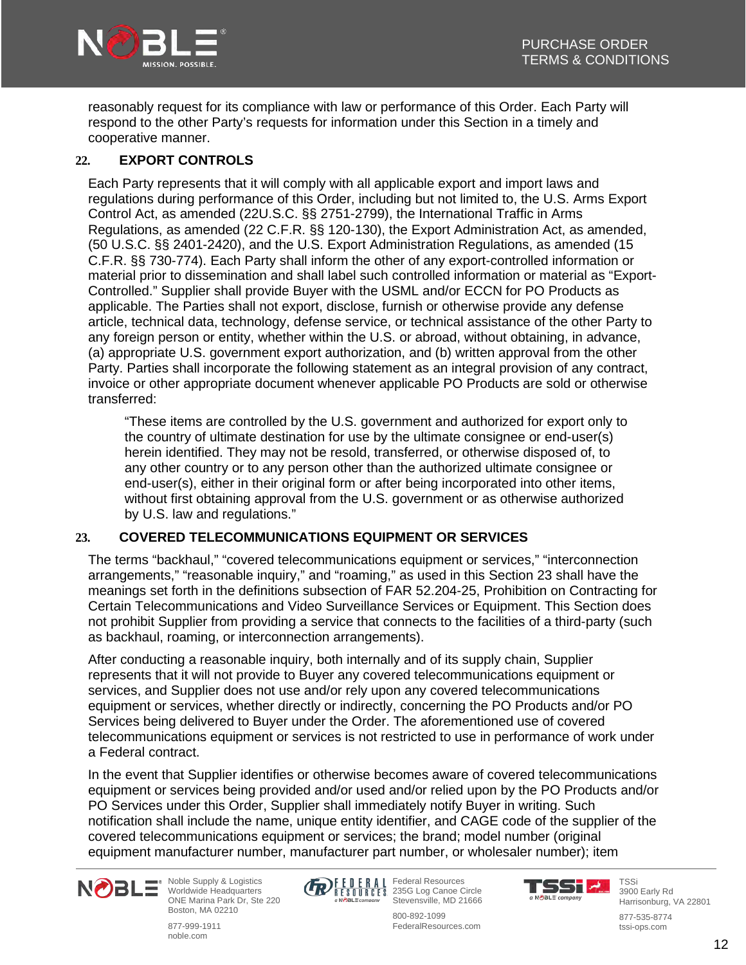

reasonably request for its compliance with law or performance of this Order. Each Party will respond to the other Party's requests for information under this Section in a timely and cooperative manner.

### **22. EXPORT CONTROLS**

Each Party represents that it will comply with all applicable export and import laws and regulations during performance of this Order, including but not limited to, the U.S. Arms Export Control Act, as amended (22U.S.C. §§ 2751-2799), the International Traffic in Arms Regulations, as amended (22 C.F.R. §§ 120-130), the Export Administration Act, as amended, (50 U.S.C. §§ 2401-2420), and the U.S. Export Administration Regulations, as amended (15 C.F.R. §§ 730-774). Each Party shall inform the other of any export-controlled information or material prior to dissemination and shall label such controlled information or material as "Export-Controlled." Supplier shall provide Buyer with the USML and/or ECCN for PO Products as applicable. The Parties shall not export, disclose, furnish or otherwise provide any defense article, technical data, technology, defense service, or technical assistance of the other Party to any foreign person or entity, whether within the U.S. or abroad, without obtaining, in advance, (a) appropriate U.S. government export authorization, and (b) written approval from the other Party. Parties shall incorporate the following statement as an integral provision of any contract, invoice or other appropriate document whenever applicable PO Products are sold or otherwise transferred:

"These items are controlled by the U.S. government and authorized for export only to the country of ultimate destination for use by the ultimate consignee or end-user(s) herein identified. They may not be resold, transferred, or otherwise disposed of, to any other country or to any person other than the authorized ultimate consignee or end-user(s), either in their original form or after being incorporated into other items, without first obtaining approval from the U.S. government or as otherwise authorized by U.S. law and regulations."

### **23. COVERED TELECOMMUNICATIONS EQUIPMENT OR SERVICES**

The terms "backhaul," "covered telecommunications equipment or services," "interconnection arrangements," "reasonable inquiry," and "roaming," as used in this Section 23 shall have the meanings set forth in the definitions subsection of FAR 52.204-25, Prohibition on Contracting for Certain Telecommunications and Video Surveillance Services or Equipment. This Section does not prohibit Supplier from providing a service that connects to the facilities of a third-party (such as backhaul, roaming, or interconnection arrangements).

After conducting a reasonable inquiry, both internally and of its supply chain, Supplier represents that it will not provide to Buyer any covered telecommunications equipment or services, and Supplier does not use and/or rely upon any covered telecommunications equipment or services, whether directly or indirectly, concerning the PO Products and/or PO Services being delivered to Buyer under the Order. The aforementioned use of covered telecommunications equipment or services is not restricted to use in performance of work under a Federal contract.

In the event that Supplier identifies or otherwise becomes aware of covered telecommunications equipment or services being provided and/or used and/or relied upon by the PO Products and/or PO Services under this Order, Supplier shall immediately notify Buyer in writing. Such notification shall include the name, unique entity identifier, and CAGE code of the supplier of the covered telecommunications equipment or services; the brand; model number (original equipment manufacturer number, manufacturer part number, or wholesaler number); item



Noble Supply & Logistics Worldwide Headquarters ONE Marina Park Dr, Ste 220 Boston, MA 02210





Federal Resources 235G Log Canoe Circle Stevensville, MD 21666 800-892-1099

FederalResources.com

TSSI <u>1</u> a NOBLE company

TSSi 3900 Early Rd

Harrisonburg, VA 22801 877-535-8774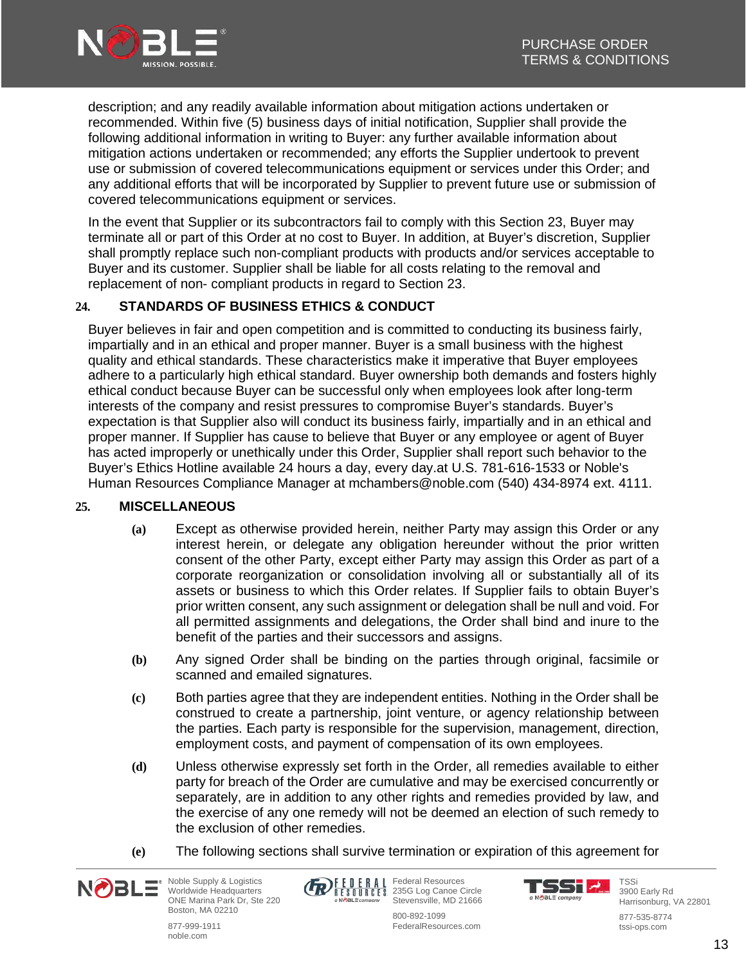

description; and any readily available information about mitigation actions undertaken or recommended. Within five (5) business days of initial notification, Supplier shall provide the following additional information in writing to Buyer: any further available information about mitigation actions undertaken or recommended; any efforts the Supplier undertook to prevent use or submission of covered telecommunications equipment or services under this Order; and any additional efforts that will be incorporated by Supplier to prevent future use or submission of covered telecommunications equipment or services.

In the event that Supplier or its subcontractors fail to comply with this Section 23, Buyer may terminate all or part of this Order at no cost to Buyer. In addition, at Buyer's discretion, Supplier shall promptly replace such non-compliant products with products and/or services acceptable to Buyer and its customer. Supplier shall be liable for all costs relating to the removal and replacement of non- compliant products in regard to Section 23.

### **24. STANDARDS OF BUSINESS ETHICS & CONDUCT**

Buyer believes in fair and open competition and is committed to conducting its business fairly, impartially and in an ethical and proper manner. Buyer is a small business with the highest quality and ethical standards. These characteristics make it imperative that Buyer employees adhere to a particularly high ethical standard. Buyer ownership both demands and fosters highly ethical conduct because Buyer can be successful only when employees look after long-term interests of the company and resist pressures to compromise Buyer's standards. Buyer's expectation is that Supplier also will conduct its business fairly, impartially and in an ethical and proper manner. If Supplier has cause to believe that Buyer or any employee or agent of Buyer has acted improperly or unethically under this Order, Supplier shall report such behavior to the Buyer's Ethics Hotline available 24 hours a day, every day.at U.S. 781-616-1533 or Noble's Human Resources Compliance Manager at mchambers@noble.com (540) 434-8974 ext. 4111.

### **25. MISCELLANEOUS**

- **(a)** Except as otherwise provided herein, neither Party may assign this Order or any interest herein, or delegate any obligation hereunder without the prior written consent of the other Party, except either Party may assign this Order as part of a corporate reorganization or consolidation involving all or substantially all of its assets or business to which this Order relates. If Supplier fails to obtain Buyer's prior written consent, any such assignment or delegation shall be null and void. For all permitted assignments and delegations, the Order shall bind and inure to the benefit of the parties and their successors and assigns.
- **(b)** Any signed Order shall be binding on the parties through original, facsimile or scanned and emailed signatures.
- **(c)** Both parties agree that they are independent entities. Nothing in the Order shall be construed to create a partnership, joint venture, or agency relationship between the parties. Each party is responsible for the supervision, management, direction, employment costs, and payment of compensation of its own employees.
- **(d)** Unless otherwise expressly set forth in the Order, all remedies available to either party for breach of the Order are cumulative and may be exercised concurrently or separately, are in addition to any other rights and remedies provided by law, and the exercise of any one remedy will not be deemed an election of such remedy to the exclusion of other remedies.
- **(e)** The following sections shall survive termination or expiration of this agreement for



877-999-1911 noble.com



Federal Resources 235G Log Canoe Circle Stevensville, MD 21666



**TSSi** 3900 Early Rd Harrisonburg, VA 22801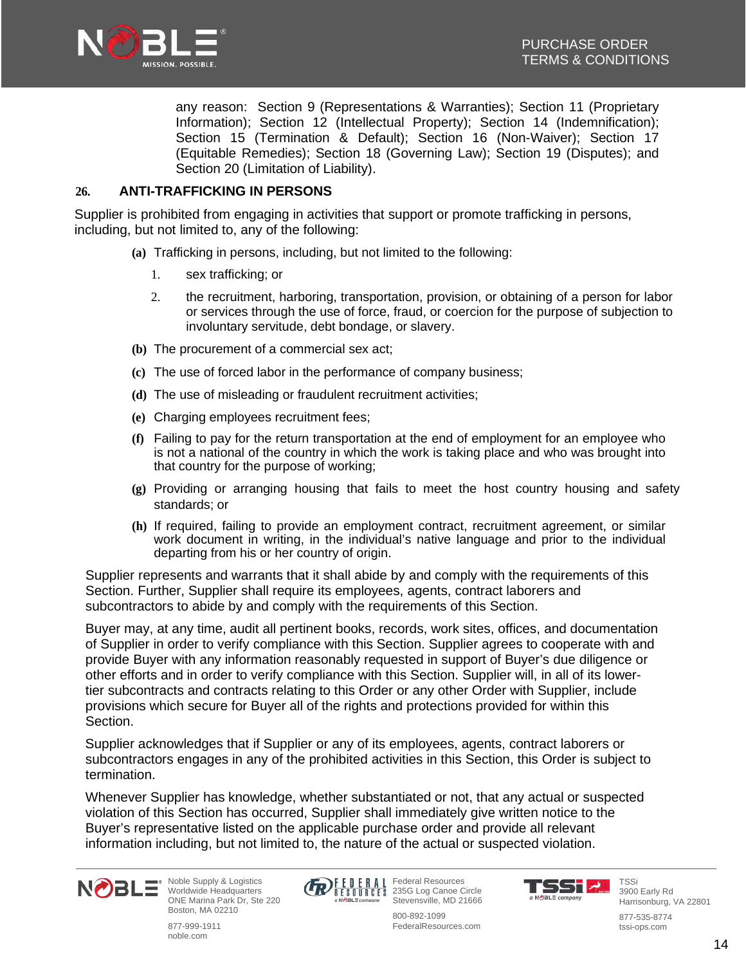

any reason: Section 9 (Representations & Warranties); Section 11 (Proprietary Information); Section 12 (Intellectual Property); Section 14 (Indemnification); Section 15 (Termination & Default); Section 16 (Non-Waiver); Section 17 (Equitable Remedies); Section 18 (Governing Law); Section 19 (Disputes); and Section 20 (Limitation of Liability).

### **26. ANTI-TRAFFICKING IN PERSONS**

Supplier is prohibited from engaging in activities that support or promote trafficking in persons, including, but not limited to, any of the following:

- **(a)** Trafficking in persons, including, but not limited to the following:
	- 1. sex trafficking; or
	- 2. the recruitment, harboring, transportation, provision, or obtaining of a person for labor or services through the use of force, fraud, or coercion for the purpose of subjection to involuntary servitude, debt bondage, or slavery.
- **(b)** The procurement of a commercial sex act;
- **(c)** The use of forced labor in the performance of company business;
- **(d)** The use of misleading or fraudulent recruitment activities;
- **(e)** Charging employees recruitment fees;
- **(f)** Failing to pay for the return transportation at the end of employment for an employee who is not a national of the country in which the work is taking place and who was brought into that country for the purpose of working;
- **(g)** Providing or arranging housing that fails to meet the host country housing and safety standards; or
- **(h)** If required, failing to provide an employment contract, recruitment agreement, or similar work document in writing, in the individual's native language and prior to the individual departing from his or her country of origin.

Supplier represents and warrants that it shall abide by and comply with the requirements of this Section. Further, Supplier shall require its employees, agents, contract laborers and subcontractors to abide by and comply with the requirements of this Section.

Buyer may, at any time, audit all pertinent books, records, work sites, offices, and documentation of Supplier in order to verify compliance with this Section. Supplier agrees to cooperate with and provide Buyer with any information reasonably requested in support of Buyer's due diligence or other efforts and in order to verify compliance with this Section. Supplier will, in all of its lowertier subcontracts and contracts relating to this Order or any other Order with Supplier, include provisions which secure for Buyer all of the rights and protections provided for within this Section.

Supplier acknowledges that if Supplier or any of its employees, agents, contract laborers or subcontractors engages in any of the prohibited activities in this Section, this Order is subject to termination.

Whenever Supplier has knowledge, whether substantiated or not, that any actual or suspected violation of this Section has occurred, Supplier shall immediately give written notice to the Buyer's representative listed on the applicable purchase order and provide all relevant information including, but not limited to, the nature of the actual or suspected violation.



Noble Supply & Logistics Worldwide Headquarters ONE Marina Park Dr, Ste 220 Boston, MA 02210

877-999-1911 noble.com



Federal Resources 235G Log Canoe Circle Stevensville, MD 21666



TSSi 3900 Early Rd Harrisonburg, VA 22801

877-535-8774 tssi-ops.com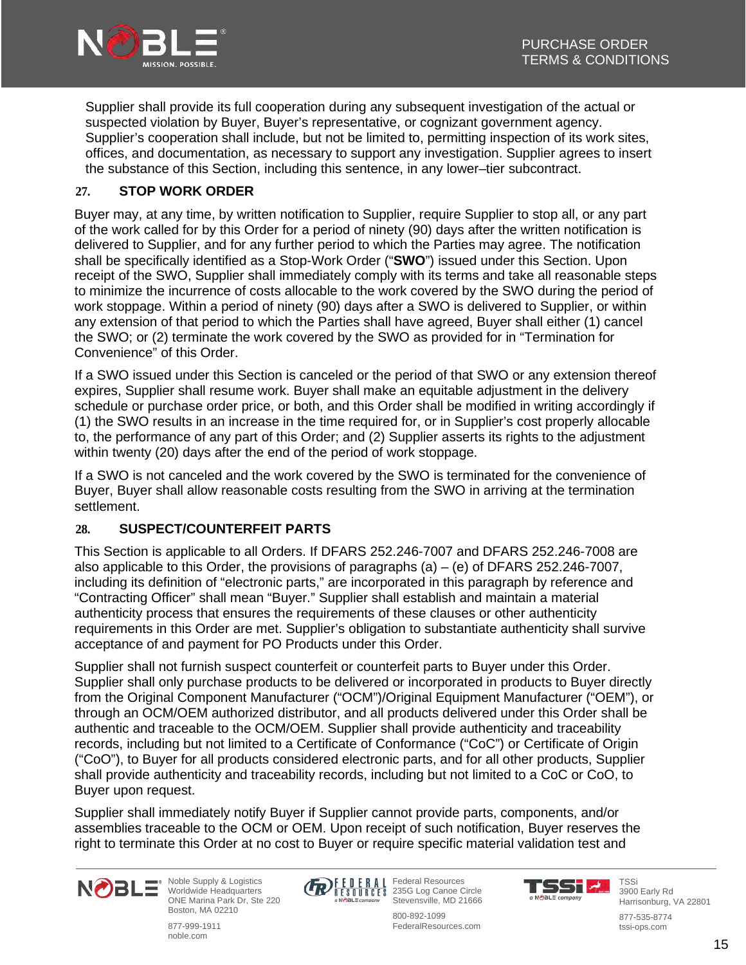

Supplier shall provide its full cooperation during any subsequent investigation of the actual or suspected violation by Buyer, Buyer's representative, or cognizant government agency. Supplier's cooperation shall include, but not be limited to, permitting inspection of its work sites, offices, and documentation, as necessary to support any investigation. Supplier agrees to insert the substance of this Section, including this sentence, in any lower–tier subcontract.

### **27. STOP WORK ORDER**

Buyer may, at any time, by written notification to Supplier, require Supplier to stop all, or any part of the work called for by this Order for a period of ninety (90) days after the written notification is delivered to Supplier, and for any further period to which the Parties may agree. The notification shall be specifically identified as a Stop-Work Order ("**SWO**") issued under this Section. Upon receipt of the SWO, Supplier shall immediately comply with its terms and take all reasonable steps to minimize the incurrence of costs allocable to the work covered by the SWO during the period of work stoppage. Within a period of ninety (90) days after a SWO is delivered to Supplier, or within any extension of that period to which the Parties shall have agreed, Buyer shall either (1) cancel the SWO; or (2) terminate the work covered by the SWO as provided for in "Termination for Convenience" of this Order.

If a SWO issued under this Section is canceled or the period of that SWO or any extension thereof expires, Supplier shall resume work. Buyer shall make an equitable adjustment in the delivery schedule or purchase order price, or both, and this Order shall be modified in writing accordingly if (1) the SWO results in an increase in the time required for, or in Supplier's cost properly allocable to, the performance of any part of this Order; and (2) Supplier asserts its rights to the adjustment within twenty (20) days after the end of the period of work stoppage.

If a SWO is not canceled and the work covered by the SWO is terminated for the convenience of Buyer, Buyer shall allow reasonable costs resulting from the SWO in arriving at the termination settlement.

### **28. SUSPECT/COUNTERFEIT PARTS**

This Section is applicable to all Orders. If DFARS 252.246-7007 and DFARS 252.246-7008 are also applicable to this Order, the provisions of paragraphs  $(a) - (e)$  of DFARS 252.246-7007, including its definition of "electronic parts," are incorporated in this paragraph by reference and "Contracting Officer" shall mean "Buyer." Supplier shall establish and maintain a material authenticity process that ensures the requirements of these clauses or other authenticity requirements in this Order are met. Supplier's obligation to substantiate authenticity shall survive acceptance of and payment for PO Products under this Order.

Supplier shall not furnish suspect counterfeit or counterfeit parts to Buyer under this Order. Supplier shall only purchase products to be delivered or incorporated in products to Buyer directly from the Original Component Manufacturer ("OCM")/Original Equipment Manufacturer ("OEM"), or through an OCM/OEM authorized distributor, and all products delivered under this Order shall be authentic and traceable to the OCM/OEM. Supplier shall provide authenticity and traceability records, including but not limited to a Certificate of Conformance ("CoC") or Certificate of Origin ("CoO"), to Buyer for all products considered electronic parts, and for all other products, Supplier shall provide authenticity and traceability records, including but not limited to a CoC or CoO, to Buyer upon request.

Supplier shall immediately notify Buyer if Supplier cannot provide parts, components, and/or assemblies traceable to the OCM or OEM. Upon receipt of such notification, Buyer reserves the right to terminate this Order at no cost to Buyer or require specific material validation test and



Noble Supply & Logistics Worldwide Headquarters ONE Marina Park Dr, Ste 220 Boston, MA 02210

877-999-1911 noble.com



Federal Resources 235G Log Canoe Circle Stevensville, MD 21666



TSSi 3900 Early Rd

877-535-8774 tssi-ops.com

800-892-1099 FederalResources.com

Harrisonburg, VA 22801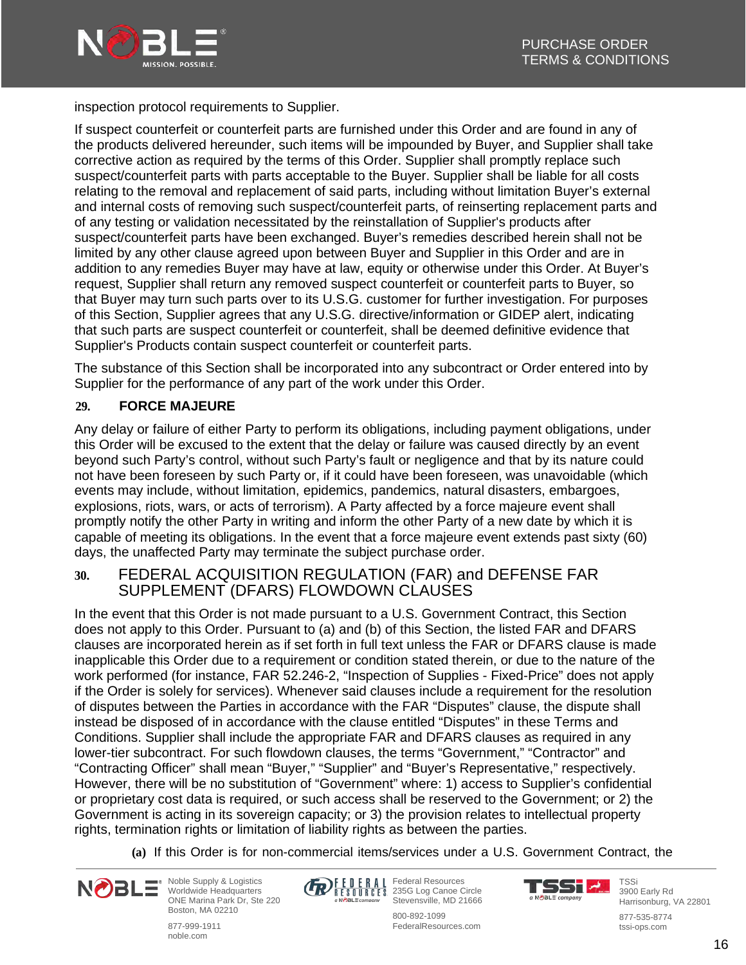

inspection protocol requirements to Supplier.

If suspect counterfeit or counterfeit parts are furnished under this Order and are found in any of the products delivered hereunder, such items will be impounded by Buyer, and Supplier shall take corrective action as required by the terms of this Order. Supplier shall promptly replace such suspect/counterfeit parts with parts acceptable to the Buyer. Supplier shall be liable for all costs relating to the removal and replacement of said parts, including without limitation Buyer's external and internal costs of removing such suspect/counterfeit parts, of reinserting replacement parts and of any testing or validation necessitated by the reinstallation of Supplier's products after suspect/counterfeit parts have been exchanged. Buyer's remedies described herein shall not be limited by any other clause agreed upon between Buyer and Supplier in this Order and are in addition to any remedies Buyer may have at law, equity or otherwise under this Order. At Buyer's request, Supplier shall return any removed suspect counterfeit or counterfeit parts to Buyer, so that Buyer may turn such parts over to its U.S.G. customer for further investigation. For purposes of this Section, Supplier agrees that any U.S.G. directive/information or GIDEP alert, indicating that such parts are suspect counterfeit or counterfeit, shall be deemed definitive evidence that Supplier's Products contain suspect counterfeit or counterfeit parts.

The substance of this Section shall be incorporated into any subcontract or Order entered into by Supplier for the performance of any part of the work under this Order.

### **29. FORCE MAJEURE**

Any delay or failure of either Party to perform its obligations, including payment obligations, under this Order will be excused to the extent that the delay or failure was caused directly by an event beyond such Party's control, without such Party's fault or negligence and that by its nature could not have been foreseen by such Party or, if it could have been foreseen, was unavoidable (which events may include, without limitation, epidemics, pandemics, natural disasters, embargoes, explosions, riots, wars, or acts of terrorism). A Party affected by a force majeure event shall promptly notify the other Party in writing and inform the other Party of a new date by which it is capable of meeting its obligations. In the event that a force majeure event extends past sixty (60) days, the unaffected Party may terminate the subject purchase order.

# **30.** FEDERAL ACQUISITION REGULATION (FAR) and DEFENSE FAR SUPPLEMENT (DFARS) FLOWDOWN CLAUSES

In the event that this Order is not made pursuant to a U.S. Government Contract, this Section does not apply to this Order. Pursuant to (a) and (b) of this Section, the listed FAR and DFARS clauses are incorporated herein as if set forth in full text unless the FAR or DFARS clause is made inapplicable this Order due to a requirement or condition stated therein, or due to the nature of the work performed (for instance, FAR 52.246-2, "Inspection of Supplies - Fixed-Price" does not apply if the Order is solely for services). Whenever said clauses include a requirement for the resolution of disputes between the Parties in accordance with the FAR "Disputes" clause, the dispute shall instead be disposed of in accordance with the clause entitled "Disputes" in these Terms and Conditions. Supplier shall include the appropriate FAR and DFARS clauses as required in any lower-tier subcontract. For such flowdown clauses, the terms "Government," "Contractor" and "Contracting Officer" shall mean "Buyer," "Supplier" and "Buyer's Representative," respectively. However, there will be no substitution of "Government" where: 1) access to Supplier's confidential or proprietary cost data is required, or such access shall be reserved to the Government; or 2) the Government is acting in its sovereign capacity; or 3) the provision relates to intellectual property rights, termination rights or limitation of liability rights as between the parties.

**(a)** If this Order is for non-commercial items/services under a U.S. Government Contract, the



Noble Supply & Logistics Worldwide Headquarters ONE Marina Park Dr, Ste 220 Boston, MA 02210

877-999-1911 noble.com



Federal Resources 235G Log Canoe Circle Stevensville, MD 21666



TSSi 3900 Early Rd Harrisonburg, VA 22801

877-535-8774 tssi-ops.com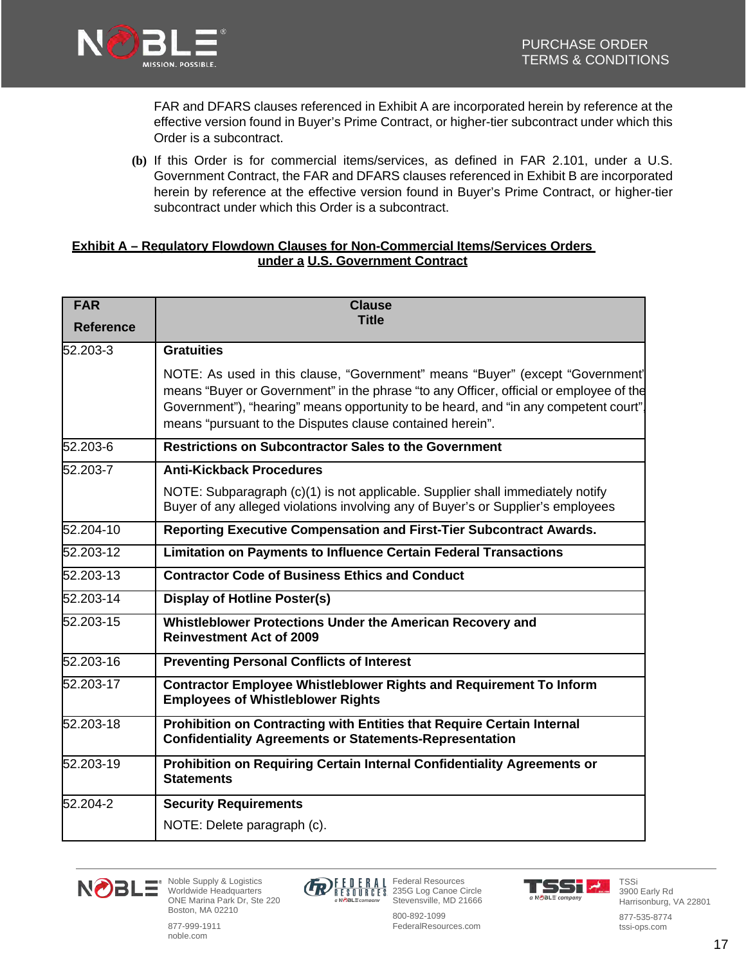

FAR and DFARS clauses referenced in Exhibit A are incorporated herein by reference at the effective version found in Buyer's Prime Contract, or higher-tier subcontract under which this Order is a subcontract.

**(b)** If this Order is for commercial items/services, as defined in FAR 2.101, under a U.S. Government Contract, the FAR and DFARS clauses referenced in Exhibit B are incorporated herein by reference at the effective version found in Buyer's Prime Contract, or higher-tier subcontract under which this Order is a subcontract.

#### **Exhibit A – Regulatory Flowdown Clauses for Non-Commercial Items/Services Orders under a U.S. Government Contract**

| <b>FAR</b>       | <b>Clause</b>                                                                                                                                                                                                                                                                                                                |
|------------------|------------------------------------------------------------------------------------------------------------------------------------------------------------------------------------------------------------------------------------------------------------------------------------------------------------------------------|
| <b>Reference</b> | <b>Title</b>                                                                                                                                                                                                                                                                                                                 |
| 52.203-3         | <b>Gratuities</b>                                                                                                                                                                                                                                                                                                            |
|                  | NOTE: As used in this clause, "Government" means "Buyer" (except "Government"<br>means "Buyer or Government" in the phrase "to any Officer, official or employee of the<br>Government"), "hearing" means opportunity to be heard, and "in any competent court".<br>means "pursuant to the Disputes clause contained herein". |
| 52.203-6         | <b>Restrictions on Subcontractor Sales to the Government</b>                                                                                                                                                                                                                                                                 |
| 52.203-7         | <b>Anti-Kickback Procedures</b>                                                                                                                                                                                                                                                                                              |
|                  | NOTE: Subparagraph (c)(1) is not applicable. Supplier shall immediately notify<br>Buyer of any alleged violations involving any of Buyer's or Supplier's employees                                                                                                                                                           |
| 52.204-10        | Reporting Executive Compensation and First-Tier Subcontract Awards.                                                                                                                                                                                                                                                          |
| 52.203-12        | <b>Limitation on Payments to Influence Certain Federal Transactions</b>                                                                                                                                                                                                                                                      |
| 52.203-13        | <b>Contractor Code of Business Ethics and Conduct</b>                                                                                                                                                                                                                                                                        |
| 52.203-14        | <b>Display of Hotline Poster(s)</b>                                                                                                                                                                                                                                                                                          |
| 52.203-15        | Whistleblower Protections Under the American Recovery and<br><b>Reinvestment Act of 2009</b>                                                                                                                                                                                                                                 |
| 52.203-16        | <b>Preventing Personal Conflicts of Interest</b>                                                                                                                                                                                                                                                                             |
| 52.203-17        | <b>Contractor Employee Whistleblower Rights and Requirement To Inform</b><br><b>Employees of Whistleblower Rights</b>                                                                                                                                                                                                        |
| $52.203 - 18$    | Prohibition on Contracting with Entities that Require Certain Internal<br><b>Confidentiality Agreements or Statements-Representation</b>                                                                                                                                                                                     |
| 52.203-19        | Prohibition on Requiring Certain Internal Confidentiality Agreements or<br><b>Statements</b>                                                                                                                                                                                                                                 |
| 52.204-2         | <b>Security Requirements</b>                                                                                                                                                                                                                                                                                                 |
|                  | NOTE: Delete paragraph (c).                                                                                                                                                                                                                                                                                                  |



Noble Supply & Logistics Worldwide Headquarters ONE Marina Park Dr, Ste 220 Boston, MA 02210

877-999-1911 noble.com



Federal Resources 235G Log Canoe Circle Stevensville, MD 21666 800-892-1099

FederalResources.com



TSSi 3900 Early Rd Harrisonburg, VA 22801

877-535-8774 tssi-ops.com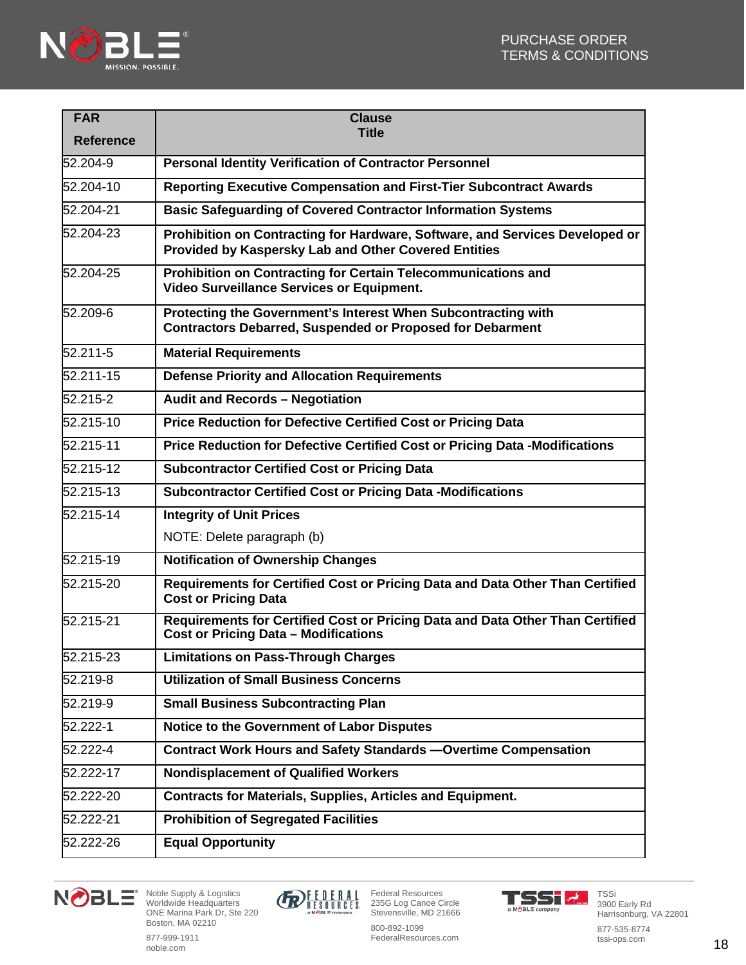

| <b>FAR</b>       | <b>Clause</b>                                                                                                                        |
|------------------|--------------------------------------------------------------------------------------------------------------------------------------|
| <b>Reference</b> | <b>Title</b>                                                                                                                         |
| 52.204-9         | <b>Personal Identity Verification of Contractor Personnel</b>                                                                        |
| 52.204-10        | <b>Reporting Executive Compensation and First-Tier Subcontract Awards</b>                                                            |
| 52.204-21        | <b>Basic Safeguarding of Covered Contractor Information Systems</b>                                                                  |
| 52.204-23        | Prohibition on Contracting for Hardware, Software, and Services Developed or<br>Provided by Kaspersky Lab and Other Covered Entities |
| $52.204 - 25$    | Prohibition on Contracting for Certain Telecommunications and<br><b>Video Surveillance Services or Equipment.</b>                    |
| 52.209-6         | Protecting the Government's Interest When Subcontracting with<br><b>Contractors Debarred, Suspended or Proposed for Debarment</b>    |
| 52.211-5         | <b>Material Requirements</b>                                                                                                         |
| 52.211-15        | <b>Defense Priority and Allocation Requirements</b>                                                                                  |
| 52.215-2         | Audit and Records - Negotiation                                                                                                      |
| 52.215-10        | Price Reduction for Defective Certified Cost or Pricing Data                                                                         |
| 52.215-11        | Price Reduction for Defective Certified Cost or Pricing Data -Modifications                                                          |
| 52.215-12        | <b>Subcontractor Certified Cost or Pricing Data</b>                                                                                  |
| 52.215-13        | <b>Subcontractor Certified Cost or Pricing Data -Modifications</b>                                                                   |
| 52.215-14        | <b>Integrity of Unit Prices</b>                                                                                                      |
|                  | NOTE: Delete paragraph (b)                                                                                                           |
| 52.215-19        | <b>Notification of Ownership Changes</b>                                                                                             |
| 52.215-20        | Requirements for Certified Cost or Pricing Data and Data Other Than Certified<br><b>Cost or Pricing Data</b>                         |
| 52.215-21        | Requirements for Certified Cost or Pricing Data and Data Other Than Certified<br><b>Cost or Pricing Data - Modifications</b>         |
| 52.215-23        | <b>Limitations on Pass-Through Charges</b>                                                                                           |
| 52.219-8         | <b>Utilization of Small Business Concerns</b>                                                                                        |
| 52.219-9         | <b>Small Business Subcontracting Plan</b>                                                                                            |
| 52.222-1         | Notice to the Government of Labor Disputes                                                                                           |
| 52.222-4         | <b>Contract Work Hours and Safety Standards - Overtime Compensation</b>                                                              |
| 52.222-17        | <b>Nondisplacement of Qualified Workers</b>                                                                                          |
| 52.222-20        | <b>Contracts for Materials, Supplies, Articles and Equipment.</b>                                                                    |
| 52.222-21        | <b>Prohibition of Segregated Facilities</b>                                                                                          |
| 52.222-26        | <b>Equal Opportunity</b>                                                                                                             |



Noble Supply & Logistics Worldwide Headquarters ONE Marina Park Dr, Ste 220 Boston, MA 02210



Federal Resources 235G Log Canoe Circle Stevensville, MD 21666

800-892-1099 FederalResources.com



TSSi 3900 Early Rd Harrisonburg, VA 22801

877-535-8774 tssi-ops.com

877-999-1911 noble.com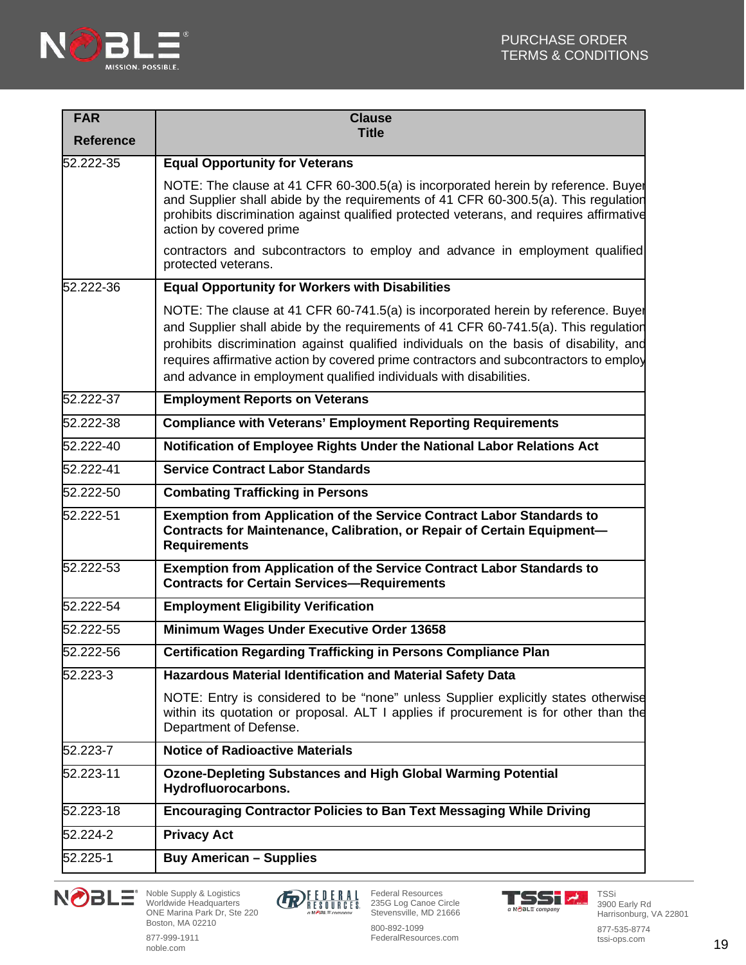

| <b>FAR</b>       | <b>Clause</b>                                                                                                                                                                                                                                                                                                                                                                                                                     |
|------------------|-----------------------------------------------------------------------------------------------------------------------------------------------------------------------------------------------------------------------------------------------------------------------------------------------------------------------------------------------------------------------------------------------------------------------------------|
| <b>Reference</b> | <b>Title</b>                                                                                                                                                                                                                                                                                                                                                                                                                      |
| 52.222-35        | <b>Equal Opportunity for Veterans</b>                                                                                                                                                                                                                                                                                                                                                                                             |
|                  | NOTE: The clause at 41 CFR 60-300.5(a) is incorporated herein by reference. Buyer<br>and Supplier shall abide by the requirements of 41 CFR 60-300.5(a). This regulation<br>prohibits discrimination against qualified protected veterans, and requires affirmative<br>action by covered prime                                                                                                                                    |
|                  | contractors and subcontractors to employ and advance in employment qualified<br>protected veterans.                                                                                                                                                                                                                                                                                                                               |
| 52.222-36        | <b>Equal Opportunity for Workers with Disabilities</b>                                                                                                                                                                                                                                                                                                                                                                            |
|                  | NOTE: The clause at 41 CFR 60-741.5(a) is incorporated herein by reference. Buyel<br>and Supplier shall abide by the requirements of 41 CFR 60-741.5(a). This regulation<br>prohibits discrimination against qualified individuals on the basis of disability, and<br>requires affirmative action by covered prime contractors and subcontractors to employ<br>and advance in employment qualified individuals with disabilities. |
| $52.222 - 37$    | <b>Employment Reports on Veterans</b>                                                                                                                                                                                                                                                                                                                                                                                             |
| 52.222-38        | <b>Compliance with Veterans' Employment Reporting Requirements</b>                                                                                                                                                                                                                                                                                                                                                                |
| 52.222-40        | Notification of Employee Rights Under the National Labor Relations Act                                                                                                                                                                                                                                                                                                                                                            |
| 52.222-41        | <b>Service Contract Labor Standards</b>                                                                                                                                                                                                                                                                                                                                                                                           |
| 52.222-50        | <b>Combating Trafficking in Persons</b>                                                                                                                                                                                                                                                                                                                                                                                           |
| 52.222-51        | <b>Exemption from Application of the Service Contract Labor Standards to</b><br><b>Contracts for Maintenance, Calibration, or Repair of Certain Equipment-</b><br><b>Requirements</b>                                                                                                                                                                                                                                             |
| $52.222 - 53$    | <b>Exemption from Application of the Service Contract Labor Standards to</b><br><b>Contracts for Certain Services-Requirements</b>                                                                                                                                                                                                                                                                                                |
| 52.222-54        | <b>Employment Eligibility Verification</b>                                                                                                                                                                                                                                                                                                                                                                                        |
| 52.222-55        | Minimum Wages Under Executive Order 13658                                                                                                                                                                                                                                                                                                                                                                                         |
| 52.222-56        | <b>Certification Regarding Trafficking in Persons Compliance Plan</b>                                                                                                                                                                                                                                                                                                                                                             |
| 52.223-3         | Hazardous Material Identification and Material Safety Data                                                                                                                                                                                                                                                                                                                                                                        |
|                  | NOTE: Entry is considered to be "none" unless Supplier explicitly states otherwise<br>within its quotation or proposal. ALT I applies if procurement is for other than the<br>Department of Defense.                                                                                                                                                                                                                              |
| 52.223-7         | <b>Notice of Radioactive Materials</b>                                                                                                                                                                                                                                                                                                                                                                                            |
| 52.223-11        | <b>Ozone-Depleting Substances and High Global Warming Potential</b><br>Hydrofluorocarbons.                                                                                                                                                                                                                                                                                                                                        |
| 52.223-18        | <b>Encouraging Contractor Policies to Ban Text Messaging While Driving</b>                                                                                                                                                                                                                                                                                                                                                        |
| 52.224-2         | <b>Privacy Act</b>                                                                                                                                                                                                                                                                                                                                                                                                                |
| 52.225-1         | <b>Buy American - Supplies</b>                                                                                                                                                                                                                                                                                                                                                                                                    |







877-535-8774 tssi-ops.com

877-999-1911 noble.com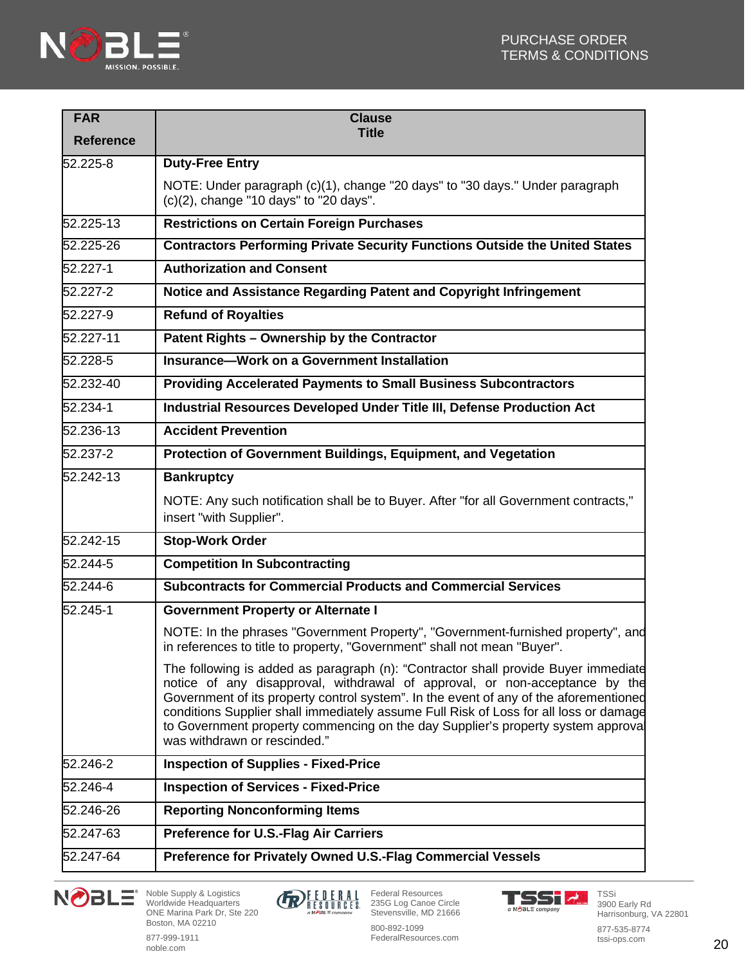

| <b>FAR</b><br><b>Reference</b> | <b>Clause</b><br><b>Title</b>                                                                                                                                                                                                                                                                                                                                                                                                                                           |
|--------------------------------|-------------------------------------------------------------------------------------------------------------------------------------------------------------------------------------------------------------------------------------------------------------------------------------------------------------------------------------------------------------------------------------------------------------------------------------------------------------------------|
| 52.225-8                       | <b>Duty-Free Entry</b>                                                                                                                                                                                                                                                                                                                                                                                                                                                  |
|                                | NOTE: Under paragraph (c)(1), change "20 days" to "30 days." Under paragraph<br>$(c)(2)$ , change "10 days" to "20 days".                                                                                                                                                                                                                                                                                                                                               |
| 52.225-13                      | <b>Restrictions on Certain Foreign Purchases</b>                                                                                                                                                                                                                                                                                                                                                                                                                        |
| 52.225-26                      | <b>Contractors Performing Private Security Functions Outside the United States</b>                                                                                                                                                                                                                                                                                                                                                                                      |
| 52.227-1                       | <b>Authorization and Consent</b>                                                                                                                                                                                                                                                                                                                                                                                                                                        |
| 52.227-2                       | Notice and Assistance Regarding Patent and Copyright Infringement                                                                                                                                                                                                                                                                                                                                                                                                       |
| 52.227-9                       | <b>Refund of Royalties</b>                                                                                                                                                                                                                                                                                                                                                                                                                                              |
| 52.227-11                      | Patent Rights - Ownership by the Contractor                                                                                                                                                                                                                                                                                                                                                                                                                             |
| 52.228-5                       | Insurance-Work on a Government Installation                                                                                                                                                                                                                                                                                                                                                                                                                             |
| 52.232-40                      | <b>Providing Accelerated Payments to Small Business Subcontractors</b>                                                                                                                                                                                                                                                                                                                                                                                                  |
| 52.234-1                       | Industrial Resources Developed Under Title III, Defense Production Act                                                                                                                                                                                                                                                                                                                                                                                                  |
| 52.236-13                      | <b>Accident Prevention</b>                                                                                                                                                                                                                                                                                                                                                                                                                                              |
| 52.237-2                       | Protection of Government Buildings, Equipment, and Vegetation                                                                                                                                                                                                                                                                                                                                                                                                           |
| 52.242-13                      | <b>Bankruptcy</b>                                                                                                                                                                                                                                                                                                                                                                                                                                                       |
|                                | NOTE: Any such notification shall be to Buyer. After "for all Government contracts,"<br>insert "with Supplier".                                                                                                                                                                                                                                                                                                                                                         |
| 52.242-15                      | <b>Stop-Work Order</b>                                                                                                                                                                                                                                                                                                                                                                                                                                                  |
| 52.244-5                       | <b>Competition In Subcontracting</b>                                                                                                                                                                                                                                                                                                                                                                                                                                    |
| 52.244-6                       | <b>Subcontracts for Commercial Products and Commercial Services</b>                                                                                                                                                                                                                                                                                                                                                                                                     |
| $52.245 - 1$                   | <b>Government Property or Alternate I</b>                                                                                                                                                                                                                                                                                                                                                                                                                               |
|                                | NOTE: In the phrases "Government Property", "Government-furnished property", and<br>in references to title to property, "Government" shall not mean "Buyer".                                                                                                                                                                                                                                                                                                            |
|                                | The following is added as paragraph (n): "Contractor shall provide Buyer immediate<br>notice of any disapproval, withdrawal of approval, or non-acceptance by the<br>Government of its property control system". In the event of any of the aforementioned<br>conditions Supplier shall immediately assume Full Risk of Loss for all loss or damage<br>to Government property commencing on the day Supplier's property system approval<br>was withdrawn or rescinded." |
| 52.246-2                       | <b>Inspection of Supplies - Fixed-Price</b>                                                                                                                                                                                                                                                                                                                                                                                                                             |
| 52.246-4                       | <b>Inspection of Services - Fixed-Price</b>                                                                                                                                                                                                                                                                                                                                                                                                                             |
| 52.246-26                      | <b>Reporting Nonconforming Items</b>                                                                                                                                                                                                                                                                                                                                                                                                                                    |
| 52.247-63                      | <b>Preference for U.S.-Flag Air Carriers</b>                                                                                                                                                                                                                                                                                                                                                                                                                            |
| 52.247-64                      | Preference for Privately Owned U.S.-Flag Commercial Vessels                                                                                                                                                                                                                                                                                                                                                                                                             |





800-892-1099 FederalResources.com



877-535-8774 tssi-ops.com

877-999-1911 noble.com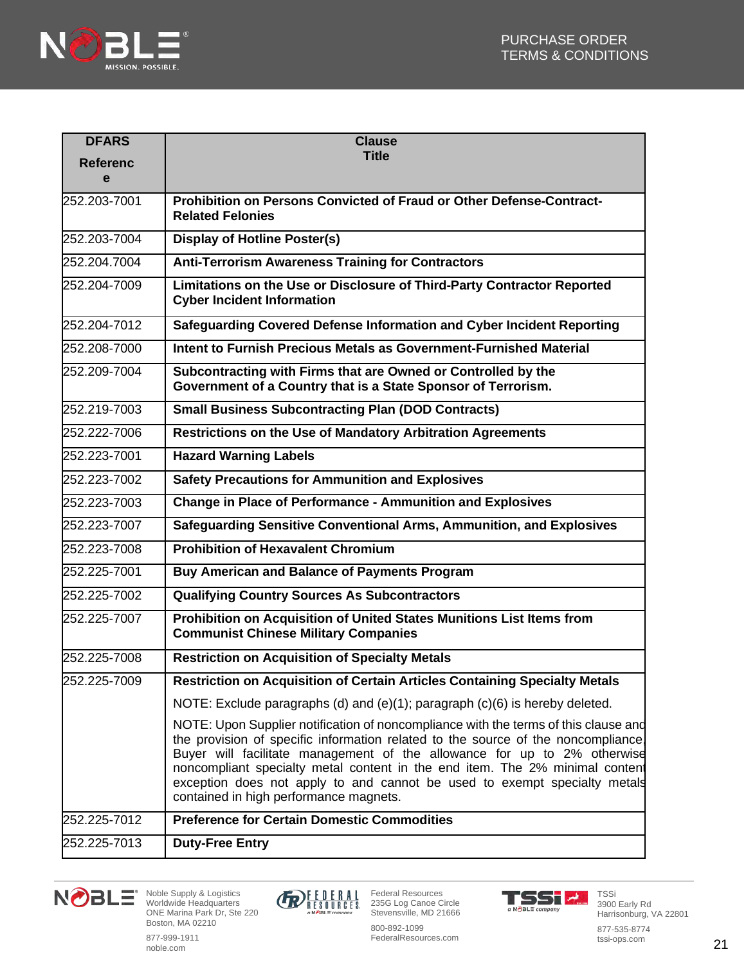

| <b>DFARS</b>    | <b>Clause</b>                                                                                                                                                                                                                                                                                                                                                                                                                                               |
|-----------------|-------------------------------------------------------------------------------------------------------------------------------------------------------------------------------------------------------------------------------------------------------------------------------------------------------------------------------------------------------------------------------------------------------------------------------------------------------------|
| <b>Referenc</b> | <b>Title</b>                                                                                                                                                                                                                                                                                                                                                                                                                                                |
| e               |                                                                                                                                                                                                                                                                                                                                                                                                                                                             |
| 252.203-7001    | Prohibition on Persons Convicted of Fraud or Other Defense-Contract-<br><b>Related Felonies</b>                                                                                                                                                                                                                                                                                                                                                             |
| 252.203-7004    | <b>Display of Hotline Poster(s)</b>                                                                                                                                                                                                                                                                                                                                                                                                                         |
| 252.204.7004    | <b>Anti-Terrorism Awareness Training for Contractors</b>                                                                                                                                                                                                                                                                                                                                                                                                    |
| 252.204-7009    | Limitations on the Use or Disclosure of Third-Party Contractor Reported<br><b>Cyber Incident Information</b>                                                                                                                                                                                                                                                                                                                                                |
| 252.204-7012    | Safeguarding Covered Defense Information and Cyber Incident Reporting                                                                                                                                                                                                                                                                                                                                                                                       |
| 252.208-7000    | Intent to Furnish Precious Metals as Government-Furnished Material                                                                                                                                                                                                                                                                                                                                                                                          |
| 252.209-7004    | Subcontracting with Firms that are Owned or Controlled by the<br>Government of a Country that is a State Sponsor of Terrorism.                                                                                                                                                                                                                                                                                                                              |
| 252.219-7003    | <b>Small Business Subcontracting Plan (DOD Contracts)</b>                                                                                                                                                                                                                                                                                                                                                                                                   |
| 252.222-7006    | Restrictions on the Use of Mandatory Arbitration Agreements                                                                                                                                                                                                                                                                                                                                                                                                 |
| 252.223-7001    | <b>Hazard Warning Labels</b>                                                                                                                                                                                                                                                                                                                                                                                                                                |
| 252.223-7002    | <b>Safety Precautions for Ammunition and Explosives</b>                                                                                                                                                                                                                                                                                                                                                                                                     |
| 252.223-7003    | <b>Change in Place of Performance - Ammunition and Explosives</b>                                                                                                                                                                                                                                                                                                                                                                                           |
| 252.223-7007    | Safeguarding Sensitive Conventional Arms, Ammunition, and Explosives                                                                                                                                                                                                                                                                                                                                                                                        |
| 252.223-7008    | <b>Prohibition of Hexavalent Chromium</b>                                                                                                                                                                                                                                                                                                                                                                                                                   |
| 252.225-7001    | <b>Buy American and Balance of Payments Program</b>                                                                                                                                                                                                                                                                                                                                                                                                         |
| 252.225-7002    | <b>Qualifying Country Sources As Subcontractors</b>                                                                                                                                                                                                                                                                                                                                                                                                         |
| 252.225-7007    | Prohibition on Acquisition of United States Munitions List Items from<br><b>Communist Chinese Military Companies</b>                                                                                                                                                                                                                                                                                                                                        |
| 252.225-7008    | <b>Restriction on Acquisition of Specialty Metals</b>                                                                                                                                                                                                                                                                                                                                                                                                       |
| 252.225-7009    | Restriction on Acquisition of Certain Articles Containing Specialty Metals                                                                                                                                                                                                                                                                                                                                                                                  |
|                 | NOTE: Exclude paragraphs (d) and (e)(1); paragraph (c)(6) is hereby deleted.                                                                                                                                                                                                                                                                                                                                                                                |
|                 | NOTE: Upon Supplier notification of noncompliance with the terms of this clause and<br>the provision of specific information related to the source of the noncompliance.<br>Buyer will facilitate management of the allowance for up to 2% otherwise<br>noncompliant specialty metal content in the end item. The 2% minimal content<br>exception does not apply to and cannot be used to exempt specialty metals<br>contained in high performance magnets. |
| 252.225-7012    | <b>Preference for Certain Domestic Commodities</b>                                                                                                                                                                                                                                                                                                                                                                                                          |
| 252.225-7013    | <b>Duty-Free Entry</b>                                                                                                                                                                                                                                                                                                                                                                                                                                      |









877-535-8774 tssi-ops.com

877-999-1911 noble.com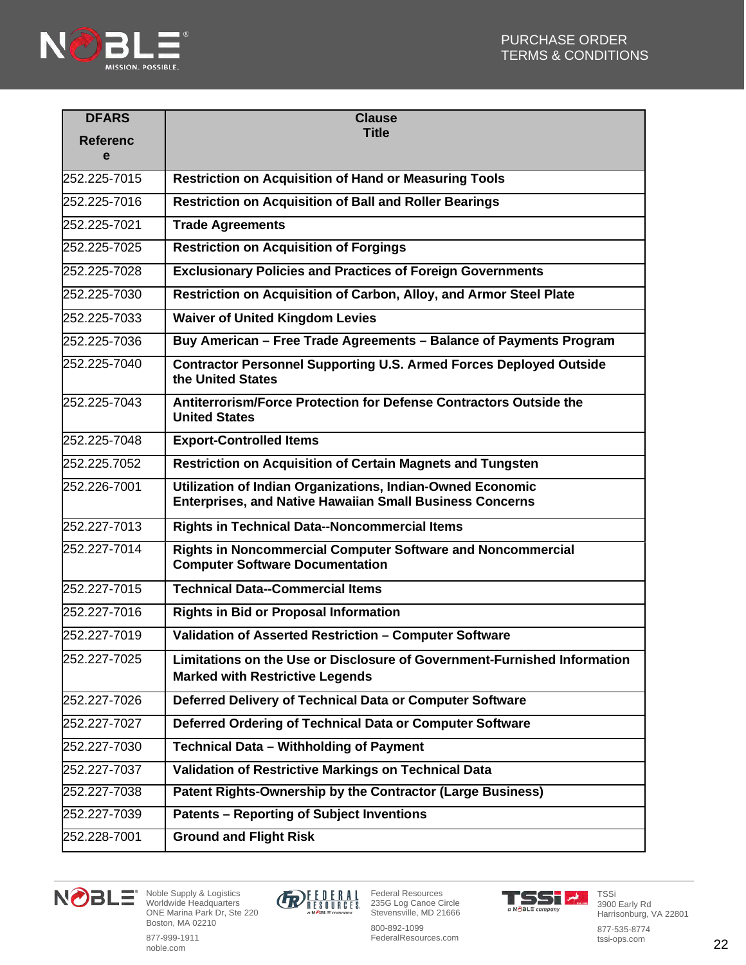

| <b>DFARS</b>         | <b>Clause</b>                                                                                                                 |
|----------------------|-------------------------------------------------------------------------------------------------------------------------------|
| <b>Referenc</b><br>e | <b>Title</b>                                                                                                                  |
| 252.225-7015         | <b>Restriction on Acquisition of Hand or Measuring Tools</b>                                                                  |
| 252.225-7016         | <b>Restriction on Acquisition of Ball and Roller Bearings</b>                                                                 |
| 252.225-7021         | <b>Trade Agreements</b>                                                                                                       |
| 252.225-7025         | <b>Restriction on Acquisition of Forgings</b>                                                                                 |
| 252.225-7028         | <b>Exclusionary Policies and Practices of Foreign Governments</b>                                                             |
| 252.225-7030         | Restriction on Acquisition of Carbon, Alloy, and Armor Steel Plate                                                            |
| 252.225-7033         | <b>Waiver of United Kingdom Levies</b>                                                                                        |
| 252.225-7036         | Buy American - Free Trade Agreements - Balance of Payments Program                                                            |
| 252.225-7040         | <b>Contractor Personnel Supporting U.S. Armed Forces Deployed Outside</b><br>the United States                                |
| 252.225-7043         | Antiterrorism/Force Protection for Defense Contractors Outside the<br><b>United States</b>                                    |
| 252.225-7048         | <b>Export-Controlled Items</b>                                                                                                |
| 252.225.7052         | <b>Restriction on Acquisition of Certain Magnets and Tungsten</b>                                                             |
| 252.226-7001         | Utilization of Indian Organizations, Indian-Owned Economic<br><b>Enterprises, and Native Hawaiian Small Business Concerns</b> |
| 252.227-7013         | <b>Rights in Technical Data--Noncommercial Items</b>                                                                          |
| 252.227-7014         | <b>Rights in Noncommercial Computer Software and Noncommercial</b><br><b>Computer Software Documentation</b>                  |
| 252.227-7015         | <b>Technical Data--Commercial Items</b>                                                                                       |
| 252.227-7016         | <b>Rights in Bid or Proposal Information</b>                                                                                  |
| 252.227-7019         | Validation of Asserted Restriction - Computer Software                                                                        |
| 252.227-7025         | Limitations on the Use or Disclosure of Government-Furnished Information<br><b>Marked with Restrictive Legends</b>            |
| 252.227-7026         | Deferred Delivery of Technical Data or Computer Software                                                                      |
| 252.227-7027         | Deferred Ordering of Technical Data or Computer Software                                                                      |
| 252.227-7030         | <b>Technical Data - Withholding of Payment</b>                                                                                |
| 252.227-7037         | Validation of Restrictive Markings on Technical Data                                                                          |
| 252.227-7038         | Patent Rights-Ownership by the Contractor (Large Business)                                                                    |
| 252.227-7039         | <b>Patents - Reporting of Subject Inventions</b>                                                                              |
| 252.228-7001         | <b>Ground and Flight Risk</b>                                                                                                 |



Noble Supply & Logistics Worldwide Headquarters ONE Marina Park Dr, Ste 220 Boston, MA 02210



Federal Resources 235G Log Canoe Circle Stevensville, MD 21666



TSSi 3900 Early Rd Harrisonburg, VA 22801

877-535-8774 tssi-ops.com

877-999-1911 noble.com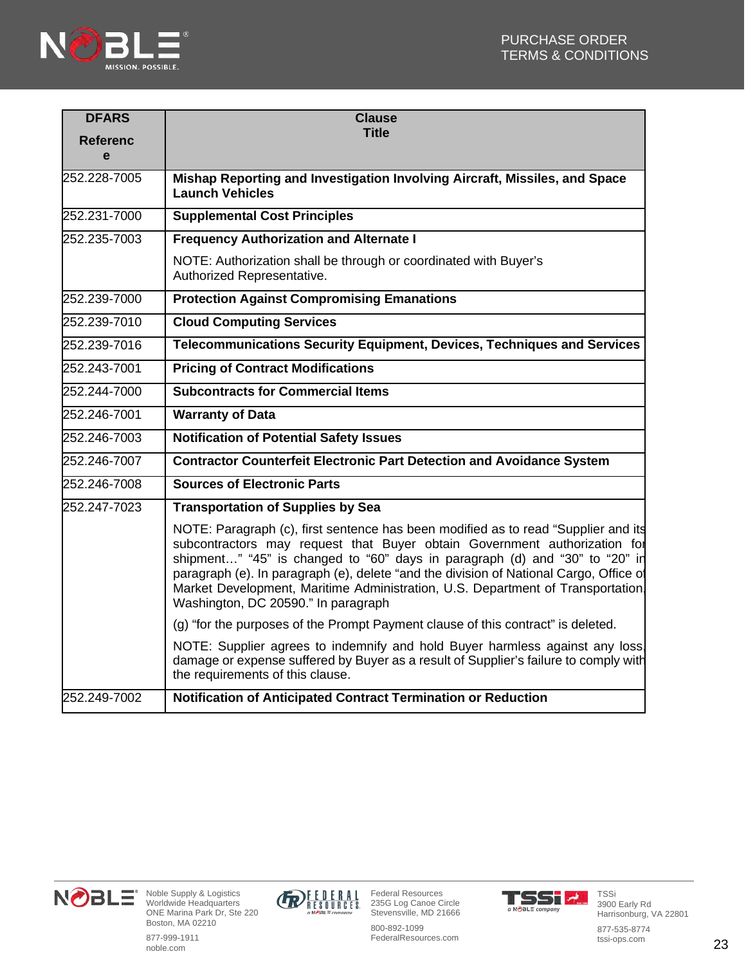

| <b>DFARS</b>         | <b>Clause</b>                                                                                                                                                                                                                                                                                                                                                                                                                                                     |
|----------------------|-------------------------------------------------------------------------------------------------------------------------------------------------------------------------------------------------------------------------------------------------------------------------------------------------------------------------------------------------------------------------------------------------------------------------------------------------------------------|
| <b>Referenc</b><br>e | <b>Title</b>                                                                                                                                                                                                                                                                                                                                                                                                                                                      |
| 252.228-7005         |                                                                                                                                                                                                                                                                                                                                                                                                                                                                   |
|                      | Mishap Reporting and Investigation Involving Aircraft, Missiles, and Space<br><b>Launch Vehicles</b>                                                                                                                                                                                                                                                                                                                                                              |
| 252.231-7000         | <b>Supplemental Cost Principles</b>                                                                                                                                                                                                                                                                                                                                                                                                                               |
| 252.235-7003         | <b>Frequency Authorization and Alternate I</b>                                                                                                                                                                                                                                                                                                                                                                                                                    |
|                      | NOTE: Authorization shall be through or coordinated with Buyer's<br>Authorized Representative.                                                                                                                                                                                                                                                                                                                                                                    |
| 252.239-7000         | <b>Protection Against Compromising Emanations</b>                                                                                                                                                                                                                                                                                                                                                                                                                 |
| 252.239-7010         | <b>Cloud Computing Services</b>                                                                                                                                                                                                                                                                                                                                                                                                                                   |
| 252.239-7016         | <b>Telecommunications Security Equipment, Devices, Techniques and Services</b>                                                                                                                                                                                                                                                                                                                                                                                    |
| 252.243-7001         | <b>Pricing of Contract Modifications</b>                                                                                                                                                                                                                                                                                                                                                                                                                          |
| 252.244-7000         | <b>Subcontracts for Commercial Items</b>                                                                                                                                                                                                                                                                                                                                                                                                                          |
| 252.246-7001         | <b>Warranty of Data</b>                                                                                                                                                                                                                                                                                                                                                                                                                                           |
| 252.246-7003         | <b>Notification of Potential Safety Issues</b>                                                                                                                                                                                                                                                                                                                                                                                                                    |
| 252.246-7007         | <b>Contractor Counterfeit Electronic Part Detection and Avoidance System</b>                                                                                                                                                                                                                                                                                                                                                                                      |
| 252.246-7008         | <b>Sources of Electronic Parts</b>                                                                                                                                                                                                                                                                                                                                                                                                                                |
| 252.247-7023         | <b>Transportation of Supplies by Sea</b>                                                                                                                                                                                                                                                                                                                                                                                                                          |
|                      | NOTE: Paragraph (c), first sentence has been modified as to read "Supplier and its<br>subcontractors may request that Buyer obtain Government authorization for<br>shipment" "45" is changed to "60" days in paragraph (d) and "30" to "20" in<br>paragraph (e). In paragraph (e), delete "and the division of National Cargo, Office of<br>Market Development, Maritime Administration, U.S. Department of Transportation<br>Washington, DC 20590." In paragraph |
|                      | (g) "for the purposes of the Prompt Payment clause of this contract" is deleted.                                                                                                                                                                                                                                                                                                                                                                                  |
|                      | NOTE: Supplier agrees to indemnify and hold Buyer harmless against any loss<br>damage or expense suffered by Buyer as a result of Supplier's failure to comply with<br>the requirements of this clause.                                                                                                                                                                                                                                                           |
| 252.249-7002         | Notification of Anticipated Contract Termination or Reduction                                                                                                                                                                                                                                                                                                                                                                                                     |



Noble Supply & Logistics Worldwide Headquarters ONE Marina Park Dr, Ste 220 Boston, MA 02210 877-999-1911

noble.com



Federal Resources 235G Log Canoe Circle Stevensville, MD 21666

800-892-1099 FederalResources.com



TSSi 3900 Early Rd Harrisonburg, VA 22801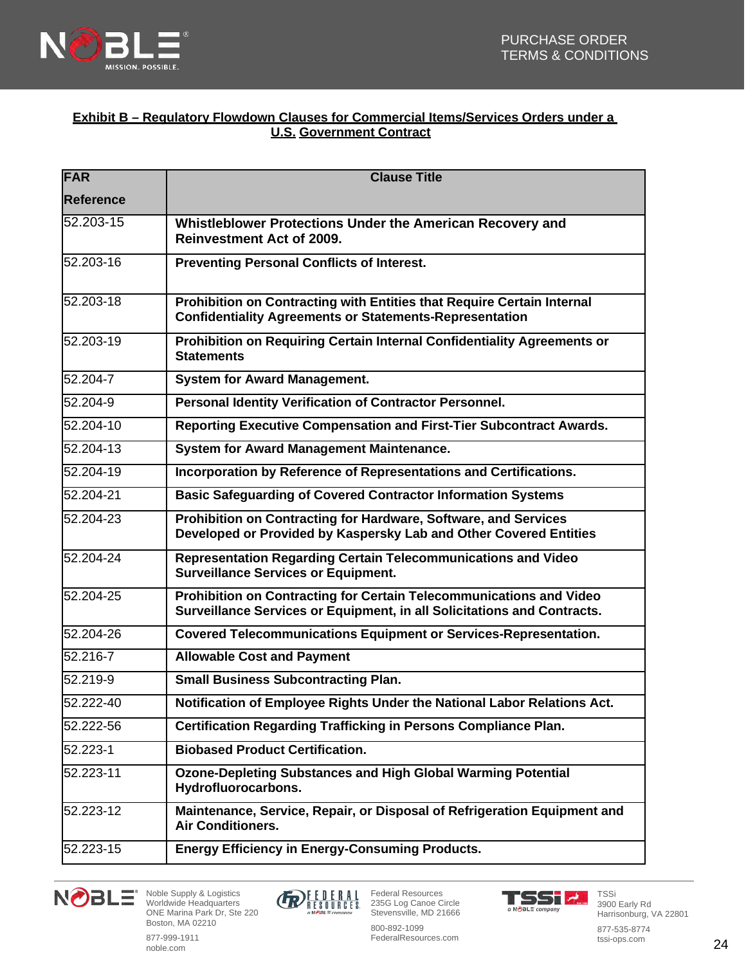

### **Exhibit B – Regulatory Flowdown Clauses for Commercial Items/Services Orders under a U.S. Government Contract**

| <b>FAR</b>    | <b>Clause Title</b>                                                                                                                            |
|---------------|------------------------------------------------------------------------------------------------------------------------------------------------|
| Reference     |                                                                                                                                                |
| 52.203-15     | Whistleblower Protections Under the American Recovery and<br><b>Reinvestment Act of 2009.</b>                                                  |
| 52.203-16     | <b>Preventing Personal Conflicts of Interest.</b>                                                                                              |
| 52.203-18     | Prohibition on Contracting with Entities that Require Certain Internal<br><b>Confidentiality Agreements or Statements-Representation</b>       |
| 52.203-19     | Prohibition on Requiring Certain Internal Confidentiality Agreements or<br><b>Statements</b>                                                   |
| 52.204-7      | <b>System for Award Management.</b>                                                                                                            |
| 52.204-9      | Personal Identity Verification of Contractor Personnel.                                                                                        |
| 52.204-10     | Reporting Executive Compensation and First-Tier Subcontract Awards.                                                                            |
| 52.204-13     | System for Award Management Maintenance.                                                                                                       |
| 52.204-19     | Incorporation by Reference of Representations and Certifications.                                                                              |
| 52.204-21     | <b>Basic Safeguarding of Covered Contractor Information Systems</b>                                                                            |
| 52.204-23     | Prohibition on Contracting for Hardware, Software, and Services<br>Developed or Provided by Kaspersky Lab and Other Covered Entities           |
| 52.204-24     | Representation Regarding Certain Telecommunications and Video<br><b>Surveillance Services or Equipment.</b>                                    |
| $52.204 - 25$ | Prohibition on Contracting for Certain Telecommunications and Video<br>Surveillance Services or Equipment, in all Solicitations and Contracts. |
| 52.204-26     | <b>Covered Telecommunications Equipment or Services-Representation.</b>                                                                        |
| 52.216-7      | <b>Allowable Cost and Payment</b>                                                                                                              |
| 52.219-9      | <b>Small Business Subcontracting Plan.</b>                                                                                                     |
| 52.222-40     | Notification of Employee Rights Under the National Labor Relations Act.                                                                        |
| 52.222-56     | <b>Certification Regarding Trafficking in Persons Compliance Plan.</b>                                                                         |
| 52.223-1      | <b>Biobased Product Certification.</b>                                                                                                         |
| 52.223-11     | <b>Ozone-Depleting Substances and High Global Warming Potential</b><br>Hydrofluorocarbons.                                                     |
| 52.223-12     | Maintenance, Service, Repair, or Disposal of Refrigeration Equipment and<br><b>Air Conditioners.</b>                                           |
| 52.223-15     | <b>Energy Efficiency in Energy-Consuming Products.</b>                                                                                         |





Federal Resources 235G Log Canoe Circle Stevensville, MD 21666



TSSi

877-535-8774 tssi-ops.com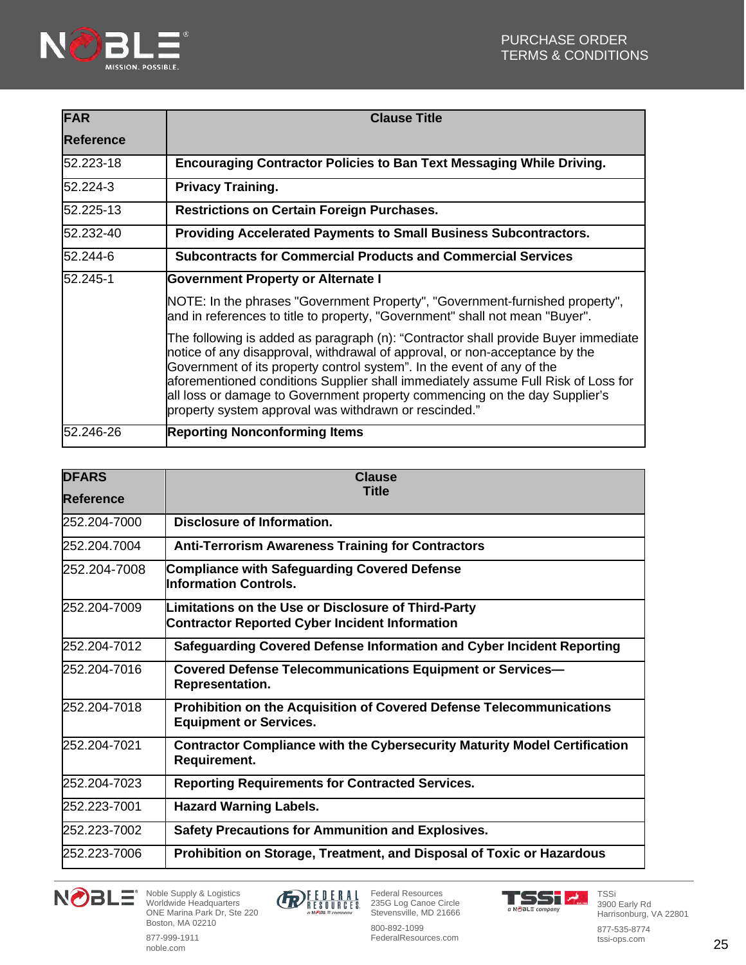

| <b>FAR</b>       | <b>Clause Title</b>                                                                                                                                                                                                                                                                                                                                                                                                                                                     |
|------------------|-------------------------------------------------------------------------------------------------------------------------------------------------------------------------------------------------------------------------------------------------------------------------------------------------------------------------------------------------------------------------------------------------------------------------------------------------------------------------|
| <b>Reference</b> |                                                                                                                                                                                                                                                                                                                                                                                                                                                                         |
| 52.223-18        | Encouraging Contractor Policies to Ban Text Messaging While Driving.                                                                                                                                                                                                                                                                                                                                                                                                    |
| 52.224-3         | <b>Privacy Training.</b>                                                                                                                                                                                                                                                                                                                                                                                                                                                |
| 52.225-13        | <b>Restrictions on Certain Foreign Purchases.</b>                                                                                                                                                                                                                                                                                                                                                                                                                       |
| 52.232-40        | <b>Providing Accelerated Payments to Small Business Subcontractors.</b>                                                                                                                                                                                                                                                                                                                                                                                                 |
| 52.244-6         | <b>Subcontracts for Commercial Products and Commercial Services</b>                                                                                                                                                                                                                                                                                                                                                                                                     |
| 52.245-1         | <b>Government Property or Alternate I</b>                                                                                                                                                                                                                                                                                                                                                                                                                               |
|                  | NOTE: In the phrases "Government Property", "Government-furnished property",<br>and in references to title to property, "Government" shall not mean "Buyer".                                                                                                                                                                                                                                                                                                            |
|                  | The following is added as paragraph (n): "Contractor shall provide Buyer immediate<br>notice of any disapproval, withdrawal of approval, or non-acceptance by the<br>Government of its property control system". In the event of any of the<br>aforementioned conditions Supplier shall immediately assume Full Risk of Loss for<br>all loss or damage to Government property commencing on the day Supplier's<br>property system approval was withdrawn or rescinded." |
| 52.246-26        | <b>Reporting Nonconforming Items</b>                                                                                                                                                                                                                                                                                                                                                                                                                                    |

| <b>DFARS</b><br><b>Reference</b> | <b>Clause</b><br><b>Title</b>                                                                                |
|----------------------------------|--------------------------------------------------------------------------------------------------------------|
| 252.204-7000                     | Disclosure of Information.                                                                                   |
| 252.204.7004                     | <b>Anti-Terrorism Awareness Training for Contractors</b>                                                     |
| 252.204-7008                     | <b>Compliance with Safeguarding Covered Defense</b><br><b>Information Controls.</b>                          |
| 252.204-7009                     | Limitations on the Use or Disclosure of Third-Party<br><b>Contractor Reported Cyber Incident Information</b> |
| 252.204-7012                     | Safeguarding Covered Defense Information and Cyber Incident Reporting                                        |
| 252.204-7016                     | <b>Covered Defense Telecommunications Equipment or Services-</b><br><b>Representation.</b>                   |
| 252.204-7018                     | Prohibition on the Acquisition of Covered Defense Telecommunications<br><b>Equipment or Services.</b>        |
| 252.204-7021                     | <b>Contractor Compliance with the Cybersecurity Maturity Model Certification</b><br>Requirement.             |
| 252.204-7023                     | <b>Reporting Requirements for Contracted Services.</b>                                                       |
| 252.223-7001                     | <b>Hazard Warning Labels.</b>                                                                                |
| 252.223-7002                     | <b>Safety Precautions for Ammunition and Explosives.</b>                                                     |
| 252.223-7006                     | Prohibition on Storage, Treatment, and Disposal of Toxic or Hazardous                                        |





800-892-1099 FederalResources.com

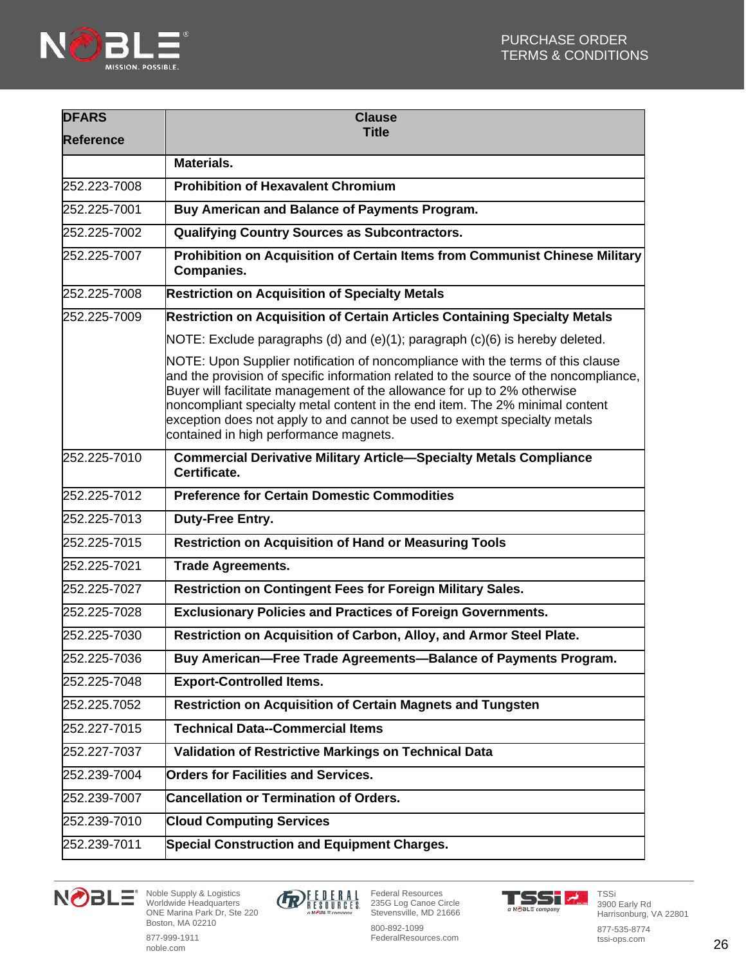

| <b>DFARS</b>     | <b>Clause</b>                                                                                                                                                                                                                                                                                                                                                                                                                                               |
|------------------|-------------------------------------------------------------------------------------------------------------------------------------------------------------------------------------------------------------------------------------------------------------------------------------------------------------------------------------------------------------------------------------------------------------------------------------------------------------|
| <b>Reference</b> | <b>Title</b>                                                                                                                                                                                                                                                                                                                                                                                                                                                |
|                  | <b>Materials.</b>                                                                                                                                                                                                                                                                                                                                                                                                                                           |
| 252.223-7008     | <b>Prohibition of Hexavalent Chromium</b>                                                                                                                                                                                                                                                                                                                                                                                                                   |
| 252.225-7001     | Buy American and Balance of Payments Program.                                                                                                                                                                                                                                                                                                                                                                                                               |
| 252.225-7002     | Qualifying Country Sources as Subcontractors.                                                                                                                                                                                                                                                                                                                                                                                                               |
| 252.225-7007     | Prohibition on Acquisition of Certain Items from Communist Chinese Military<br><b>Companies.</b>                                                                                                                                                                                                                                                                                                                                                            |
| 252.225-7008     | <b>Restriction on Acquisition of Specialty Metals</b>                                                                                                                                                                                                                                                                                                                                                                                                       |
| 252.225-7009     | <b>Restriction on Acquisition of Certain Articles Containing Specialty Metals</b>                                                                                                                                                                                                                                                                                                                                                                           |
|                  | NOTE: Exclude paragraphs (d) and (e)(1); paragraph (c)(6) is hereby deleted.                                                                                                                                                                                                                                                                                                                                                                                |
|                  | NOTE: Upon Supplier notification of noncompliance with the terms of this clause<br>and the provision of specific information related to the source of the noncompliance,<br>Buyer will facilitate management of the allowance for up to 2% otherwise<br>noncompliant specialty metal content in the end item. The 2% minimal content<br>exception does not apply to and cannot be used to exempt specialty metals<br>contained in high performance magnets. |
| 252.225-7010     | <b>Commercial Derivative Military Article-Specialty Metals Compliance</b><br>Certificate.                                                                                                                                                                                                                                                                                                                                                                   |
| 252.225-7012     | <b>Preference for Certain Domestic Commodities</b>                                                                                                                                                                                                                                                                                                                                                                                                          |
| 252.225-7013     | Duty-Free Entry.                                                                                                                                                                                                                                                                                                                                                                                                                                            |
| 252.225-7015     | Restriction on Acquisition of Hand or Measuring Tools                                                                                                                                                                                                                                                                                                                                                                                                       |
| 252.225-7021     | <b>Trade Agreements.</b>                                                                                                                                                                                                                                                                                                                                                                                                                                    |
| 252.225-7027     | Restriction on Contingent Fees for Foreign Military Sales.                                                                                                                                                                                                                                                                                                                                                                                                  |
| 252.225-7028     | <b>Exclusionary Policies and Practices of Foreign Governments.</b>                                                                                                                                                                                                                                                                                                                                                                                          |
| 252.225-7030     | Restriction on Acquisition of Carbon, Alloy, and Armor Steel Plate.                                                                                                                                                                                                                                                                                                                                                                                         |
| 252.225-7036     | Buy American-Free Trade Agreements-Balance of Payments Program.                                                                                                                                                                                                                                                                                                                                                                                             |
| 252.225-7048     | <b>Export-Controlled Items.</b>                                                                                                                                                                                                                                                                                                                                                                                                                             |
| 252.225.7052     | <b>Restriction on Acquisition of Certain Magnets and Tungsten</b>                                                                                                                                                                                                                                                                                                                                                                                           |
| 252.227-7015     | <b>Technical Data--Commercial Items</b>                                                                                                                                                                                                                                                                                                                                                                                                                     |
| 252.227-7037     | Validation of Restrictive Markings on Technical Data                                                                                                                                                                                                                                                                                                                                                                                                        |
| 252.239-7004     | <b>Orders for Facilities and Services.</b>                                                                                                                                                                                                                                                                                                                                                                                                                  |
| 252.239-7007     | <b>Cancellation or Termination of Orders.</b>                                                                                                                                                                                                                                                                                                                                                                                                               |
| 252.239-7010     | <b>Cloud Computing Services</b>                                                                                                                                                                                                                                                                                                                                                                                                                             |
| 252.239-7011     | <b>Special Construction and Equipment Charges.</b>                                                                                                                                                                                                                                                                                                                                                                                                          |





800-892-1099 FederalResources.com



877-535-8774 tssi-ops.com

877-999-1911 noble.com